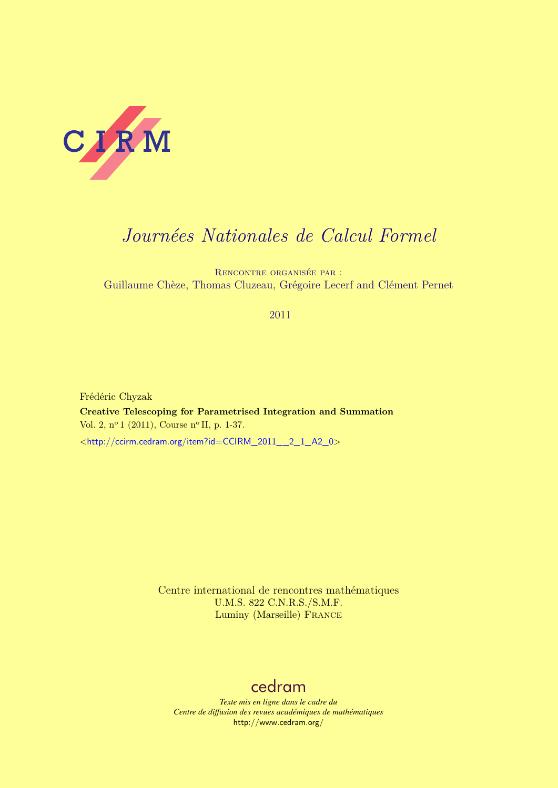

# *Journées Nationales de Calcul Formel*

Rencontre organisée par : Guillaume Chèze, Thomas Cluzeau, Grégoire Lecerf and Clément Pernet

## 2011

Frédéric Chyzak **Creative Telescoping for Parametrised Integration and Summation** Vol. 2, nº 1 (2011), Course nº II, p. 1-37. <[http://ccirm.cedram.org/item?id=CCIRM\\_2011\\_\\_2\\_1\\_A2\\_0](http://ccirm.cedram.org/item?id=CCIRM_2011__2_1_A2_0)>

> Centre international de rencontres mathématiques U.M.S. 822 C.N.R.S./S.M.F. Luminy (Marseille) France

## [cedram](http://www.cedram.org/)

*Texte mis en ligne dans le cadre du Centre de diffusion des revues académiques de mathématiques* <http://www.cedram.org/>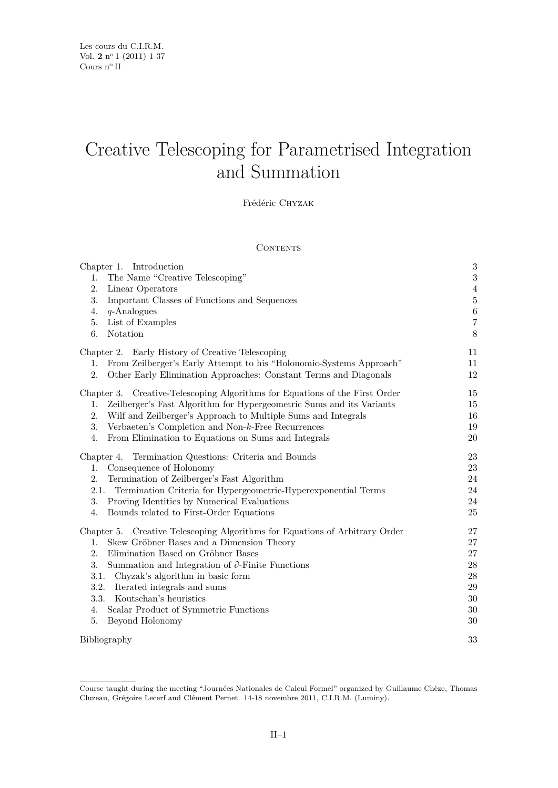# Creative Telescoping for Parametrised Integration and Summation

Frédéric Chyzak

### **CONTENTS**

| Chapter 1. Introduction                                                     | 3              |
|-----------------------------------------------------------------------------|----------------|
| The Name "Creative Telescoping"<br>1.                                       | $\overline{3}$ |
| 2.<br>Linear Operators                                                      | $\,4\,$        |
| 3.<br>Important Classes of Functions and Sequences                          | $\bf 5$        |
| 4.<br>$q$ -Analogues                                                        | $\,$ 6 $\,$    |
| List of Examples<br>5.                                                      | $\overline{7}$ |
| Notation<br>6.                                                              | $8\,$          |
| Chapter 2. Early History of Creative Telescoping                            | 11             |
| 1. From Zeilberger's Early Attempt to his "Holonomic-Systems Approach"      | 11             |
| Other Early Elimination Approaches: Constant Terms and Diagonals<br>2.      | 12             |
| Chapter 3. Creative-Telescoping Algorithms for Equations of the First Order | 15             |
| Zeilberger's Fast Algorithm for Hypergeometric Sums and its Variants<br>1.  | 15             |
| Wilf and Zeilberger's Approach to Multiple Sums and Integrals<br>2.         | 16             |
| Verbaeten's Completion and Non-k-Free Recurrences<br>3.                     | 19             |
| From Elimination to Equations on Sums and Integrals<br>4.                   | 20             |
| Chapter 4. Termination Questions: Criteria and Bounds                       | 23             |
| Consequence of Holonomy<br>1.                                               | 23             |
| Termination of Zeilberger's Fast Algorithm<br>2.                            | 24             |
| Termination Criteria for Hypergeometric-Hyperexponential Terms<br>2.1.      | 24             |
| 3.<br>Proving Identities by Numerical Evaluations                           | 24             |
| Bounds related to First-Order Equations<br>4.                               | 25             |
| Chapter 5. Creative Telescoping Algorithms for Equations of Arbitrary Order | 27             |
| Skew Gröbner Bases and a Dimension Theory<br>1.                             | $27\,$         |
| Elimination Based on Gröbner Bases<br>2.                                    | $27\,$         |
| 3.<br>Summation and Integration of $\partial$ -Finite Functions             | 28             |
| 3.1.<br>Chyzak's algorithm in basic form                                    | 28             |
| 3.2.<br>Iterated integrals and sums                                         | 29             |
| 3.3.<br>Koutschan's heuristics                                              | $30\,$         |
| Scalar Product of Symmetric Functions<br>4.                                 | 30             |
| Beyond Holonomy<br>5.                                                       | 30             |
| Bibliography                                                                | 33             |

Course taught during the meeting "Journées Nationales de Calcul Formel" organized by Guillaume Chèze, Thomas Cluzeau, Grégoire Lecerf and Clément Pernet. 14-18 novembre 2011, C.I.R.M. (Luminy).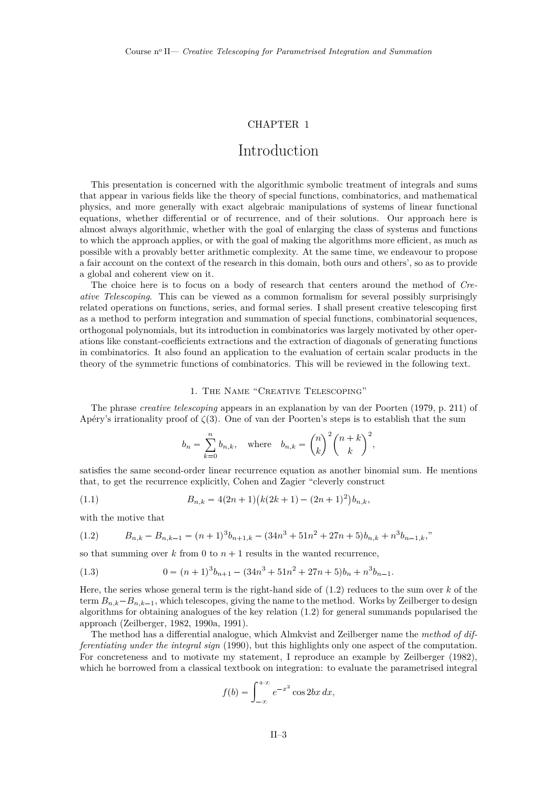## CHAPTER 1

## Introduction

<span id="page-3-0"></span>This presentation is concerned with the algorithmic symbolic treatment of integrals and sums that appear in various fields like the theory of special functions, combinatorics, and mathematical physics, and more generally with exact algebraic manipulations of systems of linear functional equations, whether differential or of recurrence, and of their solutions. Our approach here is almost always algorithmic, whether with the goal of enlarging the class of systems and functions to which the approach applies, or with the goal of making the algorithms more efficient, as much as possible with a provably better arithmetic complexity. At the same time, we endeavour to propose a fair account on the context of the research in this domain, both ours and others', so as to provide a global and coherent view on it.

The choice here is to focus on a body of research that centers around the method of *Creative Telescoping*. This can be viewed as a common formalism for several possibly surprisingly related operations on functions, series, and formal series. I shall present creative telescoping first as a method to perform integration and summation of special functions, combinatorial sequences, orthogonal polynomials, but its introduction in combinatorics was largely motivated by other operations like constant-coefficients extractions and the extraction of diagonals of generating functions in combinatorics. It also found an application to the evaluation of certain scalar products in the theory of the symmetric functions of combinatorics. This will be reviewed in the following text.

#### 1. The Name "Creative Telescoping"

The phrase *creative telescoping* appears in an explanation by [van der Poorten](#page-36-0) [\(1979,](#page-36-0) p. 211) of Apéry's irrationality proof of  $\zeta(3)$ . One of van der Poorten's steps is to establish that the sum

$$
b_n = \sum_{k=0}^n b_{n,k}, \quad \text{where} \quad b_{n,k} = \binom{n}{k}^2 \binom{n+k}{k}^2,
$$

satisfies the same second-order linear recurrence equation as another binomial sum. He mentions that, to get the recurrence explicitly, Cohen and Zagier "cleverly construct

(1.1) 
$$
B_{n,k} = 4(2n+1)(k(2k+1) - (2n+1)^2)b_{n,k},
$$

with the motive that

$$
(1.2) \qquad B_{n,k} - B_{n,k-1} = (n+1)^3 b_{n+1,k} - (34n^3 + 51n^2 + 27n + 5)b_{n,k} + n^3 b_{n-1,k},
$$

so that summing over  $k$  from 0 to  $n + 1$  results in the wanted recurrence,

(1.3) 
$$
0 = (n+1)^3 b_{n+1} - (34n^3 + 51n^2 + 27n + 5)b_n + n^3 b_{n-1}.
$$

Here, the series whose general term is the right-hand side of (1.2) reduces to the sum over *k* of the term  $B_{n,k} - B_{n,k-1}$ , which telescopes, giving the name to the method. Works by Zeilberger to design algorithms for obtaining analogues of the key relation (1.2) for general summands popularised the approach [\(Zeilberger,](#page-37-0) [1982,](#page-37-0) [1990a,](#page-37-0) [1991\)](#page-37-0).

The method has a differential analogue, which Almkvist and Zeilberger name the *method of differentiating under the integral sign* [\(1990\)](#page-33-0), but this highlights only one aspect of the computation. For concreteness and to motivate my statement, I reproduce an example by [Zeilberger](#page-37-0) [\(1982\)](#page-37-0), which he borrowed from a classical textbook on integration: to evaluate the parametrised integral

$$
f(b) = \int_{-\infty}^{+\infty} e^{-x^2} \cos 2bx \, dx,
$$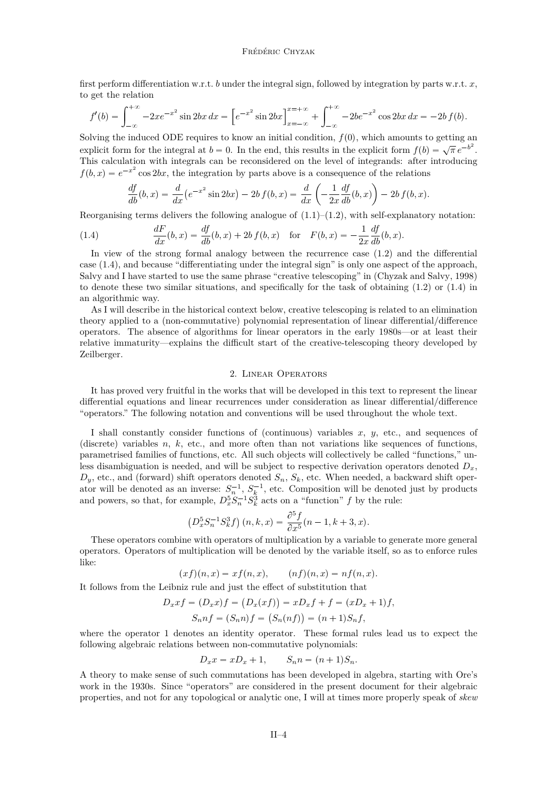<span id="page-4-0"></span>first perform differentiation w.r.t. *b* under the integral sign, followed by integration by parts w.r.t. *x*, to get the relation

$$
f'(b) = \int_{-\infty}^{+\infty} -2xe^{-x^2} \sin 2bx \, dx = \left[ e^{-x^2} \sin 2bx \right]_{x=-\infty}^{x=-\infty} + \int_{-\infty}^{+\infty} -2be^{-x^2} \cos 2bx \, dx = -2b f(b).
$$

Solving the induced ODE requires to know an initial condition,  $f(0)$ , which amounts to getting an explicit form for the integral at  $b = 0$ . In the end, this results in the explicit form  $f(b) = \sqrt{\pi} e^{-b^2}$ . This calculation with integrals can be reconsidered on the level of integrands: after introducing  $f(b, x) = e^{-x^2} \cos 2bx$ , the integration by parts above is a consequence of the relations

$$
\frac{df}{db}(b,x) = \frac{d}{dx}(e^{-x^2}\sin 2bx) - 2b f(b,x) = \frac{d}{dx}\left(-\frac{1}{2x}\frac{df}{db}(b,x)\right) - 2b f(b,x).
$$

Reorganising terms delivers the following analogue of  $(1.1)$ – $(1.2)$ , with self-explanatory notation:

(1.4) 
$$
\frac{dF}{dx}(b,x) = \frac{df}{db}(b,x) + 2bf(b,x) \text{ for } F(b,x) = -\frac{1}{2x}\frac{df}{db}(b,x).
$$

In view of the strong formal analogy between the recurrence case [\(1.2\)](#page-3-0) and the differential case (1.4), and because "differentiating under the integral sign" is only one aspect of the approach, Salvy and I have started to use the same phrase "creative telescoping" in [\(Chyzak and Salvy,](#page-34-0) [1998\)](#page-34-0) to denote these two similar situations, and specifically for the task of obtaining [\(1.2\)](#page-3-0) or (1.4) in an algorithmic way.

As I will describe in the historical context below, creative telescoping is related to an elimination theory applied to a (non-commutative) polynomial representation of linear differential/difference operators. The absence of algorithms for linear operators in the early 1980s—or at least their relative immaturity—explains the difficult start of the creative-telescoping theory developed by Zeilberger.

#### 2. Linear Operators

It has proved very fruitful in the works that will be developed in this text to represent the linear differential equations and linear recurrences under consideration as linear differential/difference "operators." The following notation and conventions will be used throughout the whole text.

I shall constantly consider functions of (continuous) variables *x*, *y*, etc., and sequences of (discrete) variables *n*, *k*, etc., and more often than not variations like sequences of functions, parametrised families of functions, etc. All such objects will collectively be called "functions," unless disambiguation is needed, and will be subject to respective derivation operators denoted  $D_x$ ,  $D_y$ , etc., and (forward) shift operators denoted  $S_n$ ,  $S_k$ , etc. When needed, a backward shift operator will be denoted as an inverse:  $S_n^{-1}$ ,  $S_k^{-1}$ , etc. Composition will be denoted just by products and powers, so that, for example,  $D_x^5 S_n^{-1} S_k^3$  acts on a "function" *f* by the rule:

$$
(D_x^5 S_n^{-1} S_k^3 f) (n, k, x) = \frac{\partial^5 f}{\partial x^5} (n - 1, k + 3, x).
$$

These operators combine with operators of multiplication by a variable to generate more general operators. Operators of multiplication will be denoted by the variable itself, so as to enforce rules like:

 $(xf)(n, x) = xf(n, x),$   $(nf)(n, x) = nf(n, x).$ 

It follows from the Leibniz rule and just the effect of substitution that

$$
D_x x f = (D_x x) f = (D_x (xf)) = x D_x f + f = (x D_x + 1) f,
$$
  
\n
$$
S_n n f = (S_n n) f = (S_n (nf)) = (n + 1) S_n f,
$$

where the operator 1 denotes an identity operator. These formal rules lead us to expect the following algebraic relations between non-commutative polynomials:

$$
D_x x = x D_x + 1, \qquad S_n n = (n+1) S_n.
$$

A theory to make sense of such commutations has been developed in algebra, starting with Ore's work in the 1930s. Since "operators" are considered in the present document for their algebraic properties, and not for any topological or analytic one, I will at times more properly speak of *skew*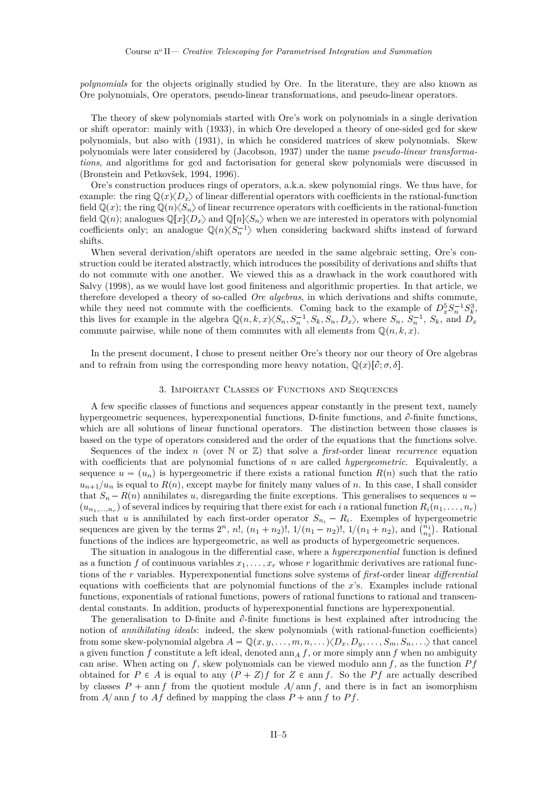<span id="page-5-0"></span>*polynomials* for the objects originally studied by Ore. In the literature, they are also known as Ore polynomials, Ore operators, pseudo-linear transformations, and pseudo-linear operators.

The theory of skew polynomials started with Ore's work on polynomials in a single derivation or shift operator: mainly with [\(1933\)](#page-35-0), in which Ore developed a theory of one-sided gcd for skew polynomials, but also with [\(1931\)](#page-35-0), in which he considered matrices of skew polynomials. Skew polynomials were later considered by [\(Jacobson,](#page-34-0) [1937\)](#page-34-0) under the name *pseudo-linear transformations*, and algorithms for gcd and factorisation for general skew polynomials were discussed in [\(Bronstein and Petkovšek,](#page-33-0) [1994,](#page-33-0) [1996\)](#page-33-0).

Ore's construction produces rings of operators, a.k.a. skew polynomial rings. We thus have, for example: the ring  $\mathbb{Q}(x)\langle D_x \rangle$  of linear differential operators with coefficients in the rational-function field  $\mathbb{Q}(x)$ ; the ring  $\mathbb{Q}(n)\langle S_n\rangle$  of linear recurrence operators with coefficients in the rational-function field  $\mathbb{Q}(n)$ ; analogues  $\mathbb{Q}[x]\langle D_x \rangle$  and  $\mathbb{Q}[n]\langle S_n \rangle$  when we are interested in operators with polynomial coefficients only; an analogue  $\mathbb{Q}(n)\langle S_n^{-1} \rangle$  when considering backward shifts instead of forward shifts.

When several derivation/shift operators are needed in the same algebraic setting, Ore's construction could be iterated abstractly, which introduces the possibility of derivations and shifts that do not commute with one another. We viewed this as a drawback in the work coauthored with Salvy [\(1998\)](#page-34-0), as we would have lost good finiteness and algorithmic properties. In that article, we therefore developed a theory of so-called *Ore algebras*, in which derivations and shifts commute, while they need not commute with the coefficients. Coming back to the example of  $D_x^5 S_n^{-1} S_k^3$ , this lives for example in the algebra  $\mathbb{Q}(n,k,x)\langle S_n, S_n^{-1}, S_k, S_n, D_x \rangle$ , where  $S_n$ ,  $S_n^{-1}$ ,  $S_k$ , and  $D_x$ commute pairwise, while none of them commutes with all elements from  $\mathbb{Q}(n, k, x)$ .

In the present document, I chose to present neither Ore's theory nor our theory of Ore algebras and to refrain from using the corresponding more heavy notation,  $\mathbb{Q}(x)[\partial;\sigma,\delta]$ .

### 3. IMPORTANT CLASSES OF FUNCTIONS AND SEQUENCES

A few specific classes of functions and sequences appear constantly in the present text, namely hypergeometric sequences, hyperexponential functions, D-finite functions, and  $\partial$ -finite functions, which are all solutions of linear functional operators. The distinction between those classes is based on the type of operators considered and the order of the equations that the functions solve.

Sequences of the index *n* (over  $\mathbb N$  or  $\mathbb Z$ ) that solve a *first*-order linear *recurrence* equation with coefficients that are polynomial functions of *n* are called *hypergeometric*. Equivalently, a sequence  $u = (u_n)$  is hypergeometric if there exists a rational function  $R(n)$  such that the ratio  $u_{n+1}/u_n$  is equal to  $R(n)$ , except maybe for finitely many values of *n*. In this case, I shall consider that  $S_n - R(n)$  annihilates *u*, disregarding the finite exceptions. This generalises to sequences  $u =$  $(u_{n_1,\ldots,n_r})$  of several indices by requiring that there exist for each *i* a rational function  $R_i(n_1,\ldots,n_r)$ such that *u* is annihilated by each first-order operator  $S_{n_i} - R_i$ . Exemples of hypergeometric sequences are given by the terms  $2^n$ , *n*!,  $(n_1 + n_2)!$ ,  $1/(n_1 - n_2)!$ ,  $1/(n_1 + n_2)$ , and  $\binom{n_1}{n_2}$ . Rational functions of the indices are hypergeometric, as well as products of hypergeometric sequences.

The situation in analogous in the differential case, where a *hyperexponential* function is defined as a function *f* of continuous variables  $x_1, \ldots, x_r$  whose *r* logarithmic derivatives are rational functions of the *r* variables. Hyperexponential functions solve systems of *first*-order linear *differential* equations with coefficients that are polynomial functions of the *x*'s. Examples include rational functions, exponentials of rational functions, powers of rational functions to rational and transcendental constants. In addition, products of hyperexponential functions are hyperexponential.

The generalisation to D-finite and  $\partial$ -finite functions is best explained after introducing the notion of *annihilating ideals*: indeed, the skew polynomials (with rational-function coefficients) from some skew-polynomial algebra  $A = \mathbb{Q}(x, y, \ldots, m, n, \ldots) \langle D_x, D_y, \ldots, S_m, S_n, \ldots \rangle$  that cancel a given function  $f$  constitute a left ideal, denoted  $\text{ann}_A f$ , or more simply ann  $f$  when no ambiguity can arise. When acting on *f*, skew polynomials can be viewed modulo ann *f*, as the function *P f* obtained for  $P \in A$  is equal to any  $(P + Z)f$  for  $Z \in \text{ann } f$ . So the Pf are actually described by classes  $P$  + ann *f* from the quotient module  $A/\text{ann } f$ , and there is in fact an isomorphism from  $A/\text{ann } f$  to  $Af$  defined by mapping the class  $P + \text{ann } f$  to  $Pf$ .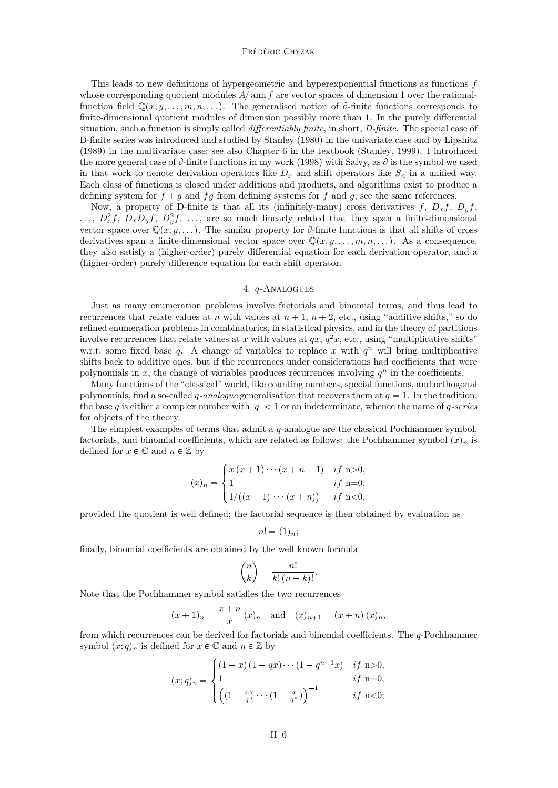#### Frédéric Chyzak

<span id="page-6-0"></span>This leads to new definitions of hypergeometric and hyperexponential functions as functions *f* whose corresponding quotient modules  $A/\text{ann } f$  are vector spaces of dimension 1 over the rationalfunction field  $\mathbb{Q}(x, y, \ldots, m, n, \ldots)$ . The generalised notion of  $\partial$ -finite functions corresponds to finite-dimensional quotient modules of dimension possibly more than 1. In the purely differential situation, such a function is simply called *differentiably finite*, in short, *D-finite*. The special case of D-finite series was introduced and studied by [Stanley](#page-36-0) [\(1980\)](#page-36-0) in the univariate case and by [Lipshitz](#page-35-0) [\(1989\)](#page-35-0) in the multivariate case; see also Chapter 6 in the textbook [\(Stanley,](#page-36-0) [1999\)](#page-36-0). I introduced the more general case of  $\partial$ -finite functions in my work [\(1998\)](#page-34-0) with Salvy, as  $\partial$  is the symbol we used in that work to denote derivation operators like  $D_x$  and shift operators like  $S_n$  in a unified way. Each class of functions is closed under additions and products, and algorithms exist to produce a defining system for  $f + g$  and  $fg$  from defining systems for  $f$  and  $g$ ; see the same references.

Now, a property of D-finite is that all its (infinitely-many) cross derivatives  $f$ ,  $D_x f$ ,  $D_y f$ ,  $\ldots$ ,  $D_x^2 f$ ,  $D_x D_y f$ ,  $D_y^2 f$ ,  $\ldots$ , are so much linearly related that they span a finite-dimensional vector space over  $\mathbb{Q}(x, y, \dots)$ . The similar property for  $\partial$ -finite functions is that all shifts of cross derivatives span a finite-dimensional vector space over  $\mathbb{Q}(x, y, \ldots, m, n, \ldots)$ . As a consequence, they also satisfy a (higher-order) purely differential equation for each derivation operator, and a (higher-order) purely difference equation for each shift operator.

#### 4. *q*-Analogues

Just as many enumeration problems involve factorials and binomial terms, and thus lead to recurrences that relate values at *n* with values at  $n + 1$ ,  $n + 2$ , etc., using "additive shifts," so do refined enumeration problems in combinatorics, in statistical physics, and in the theory of partitions involve recurrences that relate values at *x* with values at  $qx, q^2x$ , etc., using "multiplicative shifts" w.r.t. some fixed base  $q$ . A change of variables to replace  $x$  with  $q^n$  will bring multiplicative shifts back to additive ones, but if the recurrences under considerations had coefficients that were polynomials in  $x$ , the change of variables produces recurrences involving  $q^n$  in the coefficients.

Many functions of the "classical" world, like counting numbers, special functions, and orthogonal polynomials, find a so-called *q*-analogue generalisation that recovers them at  $q = 1$ . In the tradition, the base  $q$  is either a complex number with  $|q| < 1$  or an indeterminate, whence the name of  $q$ -series for objects of the theory.

The simplest examples of terms that admit a *q*-analogue are the classical Pochhammer symbol, factorials, and binomial coefficients, which are related as follows: the Pochhammer symbol  $(x)_n$  is defined for  $x \in \mathbb{C}$  and  $n \in \mathbb{Z}$  by

$$
(x)_n = \begin{cases} x (x+1) \cdots (x+n-1) & \text{if } n > 0, \\ 1 & \text{if } n = 0, \\ 1/((x-1) \cdots (x+n)) & \text{if } n < 0, \end{cases}
$$

provided the quotient is well defined; the factorial sequence is then obtained by evaluation as

$$
n! = (1)_n;
$$

finally, binomial coefficients are obtained by the well known formula

$$
\binom{n}{k} = \frac{n!}{k! \, (n-k)!}.
$$

Note that the Pochhammer symbol satisfies the two recurrences

$$
(x+1)n = \frac{x+n}{x}
$$
  $(x)n$  and  $(x)n+1 = (x+n)(x)n$ ,

from which recurrences can be derived for factorials and binomial coefficients. The *q*-Pochhammer symbol  $(x; q)_n$  is defined for  $x \in \mathbb{C}$  and  $n \in \mathbb{Z}$  by

$$
(x;q)_n = \begin{cases} (1-x)(1-qx)\cdots(1-q^{n-1}x) & \text{if } n>0, \\ 1 & \text{if } n=0, \\ \left( (1-\frac{x}{q})\cdots(1-\frac{x}{q^n}) \right)^{-1} & \text{if } n<0; \end{cases}
$$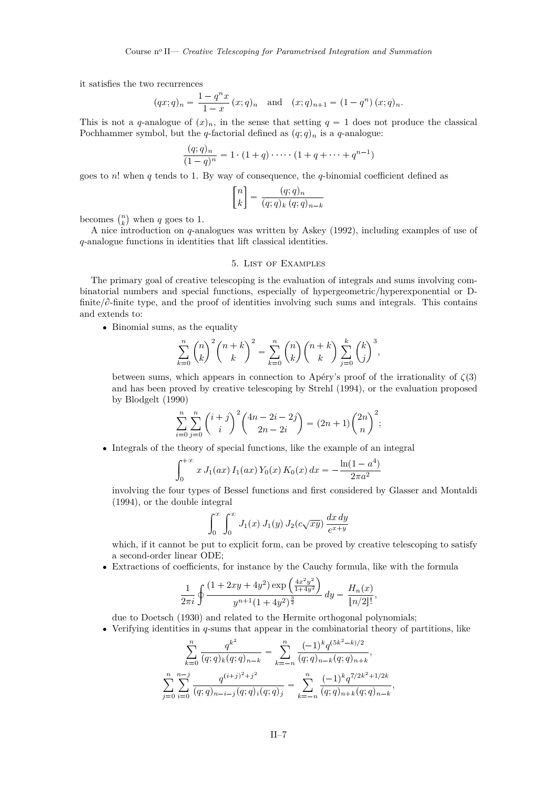<span id="page-7-0"></span>it satisfies the two recurrences

$$
(qx;q)_n = \frac{1-q^n x}{1-x} (x;q)_n
$$
 and  $(x;q)_{n+1} = (1-q^n) (x;q)_n$ .

This is not a *q*-analogue of  $(x)_n$ , in the sense that setting  $q = 1$  does not produce the classical Pochhammer symbol, but the *q*-factorial defined as  $(q; q)_n$  is a *q*-analogue:

$$
\frac{(q;q)_n}{(1-q)^n} = 1 \cdot (1+q) \cdot \cdots \cdot (1+q+\cdots+q^{n-1})
$$

goes to *n*! when *q* tends to 1. By way of consequence, the *q*-binomial coefficient defined as

$$
\begin{bmatrix} n \\ k \end{bmatrix} = \frac{(q;q)_n}{(q;q)_k (q;q)_{n-k}}
$$

becomes  $\binom{n}{k}$  when *q* goes to 1.

A nice introduction on *q*-analogues was written by [Askey](#page-33-0) [\(1992\)](#page-33-0), including examples of use of *q*-analogue functions in identities that lift classical identities.

### 5. List of Examples

The primary goal of creative telescoping is the evaluation of integrals and sums involving combinatorial numbers and special functions, especially of hypergeometric/hyperexponential or Dfinite/ $\partial$ -finite type, and the proof of identities involving such sums and integrals. This contains and extends to:

• Binomial sums, as the equality

$$
\sum_{k=0}^{n} {n \choose k}^2 {n+k \choose k}^2 = \sum_{k=0}^{n} {n \choose k} {n+k \choose k} \sum_{j=0}^{k} {k \choose j}^3,
$$

between sums, which appears in connection to Apéry's proof of the irrationality of  $\zeta(3)$ and has been proved by creative telescoping by [Strehl](#page-36-0) [\(1994\)](#page-36-0), or the evaluation proposed by [Blodgelt](#page-33-0) [\(1990\)](#page-33-0)

$$
\sum_{i=0}^{n} \sum_{j=0}^{n} {i+j \choose i}^{2} {4n-2i-2j \choose 2n-2i} = (2n+1) {2n \choose n}^{2};
$$

• Integrals of the theory of special functions, like the example of an integral

$$
\int_0^{+\infty} x J_1(ax) I_1(ax) Y_0(x) K_0(x) dx = -\frac{\ln(1 - a^4)}{2\pi a^2}
$$

involving the four types of Bessel functions and first considered by [Glasser and Montaldi](#page-34-0) [\(1994\)](#page-34-0), or the double integral

$$
\int_0^\infty \int_0^\infty J_1(x) J_1(y) J_2(c\sqrt{xy}) \frac{dx\,dy}{e^{x+y}}
$$

which, if it cannot be put to explicit form, can be proved by creative telescoping to satisfy a second-order linear ODE;

Extractions of coefficients, for instance by the Cauchy formula, like with the formula

$$
\frac{1}{2\pi i} \oint \frac{(1+2xy+4y^2)\exp\left(\frac{4x^2y^2}{1+4y^2}\right)}{y^{n+1}(1+4y^2)^{\frac{3}{2}}} dy = \frac{H_n(x)}{[n/2]!},
$$

due to [Doetsch](#page-34-0) [\(1930\)](#page-34-0) and related to the Hermite orthogonal polynomials;

Verifying identities in *q*-sums that appear in the combinatorial theory of partitions, like

$$
\sum_{k=0}^{n} \frac{q^{k^2}}{(q;q)_k (q;q)_{n-k}} = \sum_{k=-n}^{n} \frac{(-1)^k q^{(5k^2 - k)/2}}{(q;q)_{n-k} (q;q)_{n+k}},
$$
  

$$
\sum_{j=0}^{n} \sum_{i=0}^{n-j} \frac{q^{(i+j)^2 + j^2}}{(q;q)_{n-i-j} (q;q)_i (q;q)_j} = \sum_{k=-n}^{n} \frac{(-1)^k q^{7/2k^2 + 1/2k}}{(q;q)_{n+k} (q;q)_{n-k}},
$$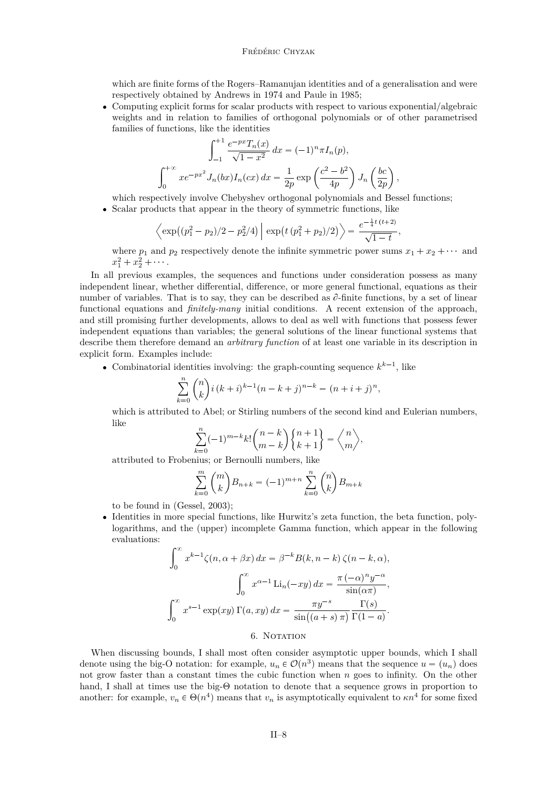#### Frédéric Chyzak

<span id="page-8-0"></span>which are finite forms of the Rogers–Ramanujan identities and of a generalisation and were respectively obtained by Andrews in 1974 and Paule in 1985;

 Computing explicit forms for scalar products with respect to various exponential/algebraic weights and in relation to families of orthogonal polynomials or of other parametrised families of functions, like the identities

$$
\int_{-1}^{+1} \frac{e^{-px} T_n(x)}{\sqrt{1-x^2}} dx = (-1)^n \pi I_n(p),
$$
  

$$
\int_0^{+\infty} x e^{-px^2} J_n(bx) I_n(cx) dx = \frac{1}{2p} \exp\left(\frac{c^2 - b^2}{4p}\right) J_n\left(\frac{bc}{2p}\right),
$$

which respectively involve Chebyshev orthogonal polynomials and Bessel functions; Scalar products that appear in the theory of symmetric functions, like

$$
\left\langle \exp\left((p_1^2 - p_2)/2 - p_2^2/4\right) \right| \exp\left(t \left(p_1^2 + p_2)/2\right) \right\rangle = \frac{e^{-\frac{1}{4}t \, (t+2)}}{\sqrt{1-t}},
$$

where  $p_1$  and  $p_2$  respectively denote the infinite symmetric power sums  $x_1 + x_2 + \cdots$  and  $x_1^2 + x_2^2 + \cdots$ 

In all previous examples, the sequences and functions under consideration possess as many independent linear, whether differential, difference, or more general functional, equations as their number of variables. That is to say, they can be described as  $\partial$ -finite functions, by a set of linear functional equations and *finitely-many* initial conditions. A recent extension of the approach, and still promising further developments, allows to deal as well with functions that possess fewer independent equations than variables; the general solutions of the linear functional systems that describe them therefore demand an *arbitrary function* of at least one variable in its description in explicit form. Examples include:

• Combinatorial identities involving: the graph-counting sequence  $k^{k-1}$ , like

$$
\sum_{k=0}^{n} {n \choose k} i (k+i)^{k-1} (n-k+j)^{n-k} = (n+i+j)^{n},
$$

which is attributed to Abel; or Stirling numbers of the second kind and Eulerian numbers, like

$$
\sum_{k=0}^n (-1)^{m-k} k! \binom{n-k}{m-k} \binom{n+1}{k+1} = \binom{n}{m},
$$

attributed to Frobenius; or Bernoulli numbers, like

$$
\sum_{k=0}^{m} \binom{m}{k} B_{n+k} = (-1)^{m+n} \sum_{k=0}^{n} \binom{n}{k} B_{m+k}
$$

to be found in [\(Gessel,](#page-34-0) [2003\)](#page-34-0);

 Identities in more special functions, like Hurwitz's zeta function, the beta function, polylogarithms, and the (upper) incomplete Gamma function, which appear in the following evaluations:

$$
\int_0^\infty x^{k-1} \zeta(n, \alpha + \beta x) dx = \beta^{-k} B(k, n - k) \zeta(n - k, \alpha),
$$

$$
\int_0^\infty x^{\alpha - 1} \operatorname{Li}_n(-xy) dx = \frac{\pi (-\alpha)^n y^{-\alpha}}{\sin(\alpha \pi)},
$$

$$
\int_0^\infty x^{s-1} \exp(xy) \Gamma(a, xy) dx = \frac{\pi y^{-s}}{\sin((a + s)\pi)} \frac{\Gamma(s)}{\Gamma(1 - a)}.
$$

#### 6. NOTATION

When discussing bounds, I shall most often consider asymptotic upper bounds, which I shall denote using the big-O notation: for example,  $u_n \in \mathcal{O}(n^3)$  means that the sequence  $u = (u_n)$  does not grow faster than a constant times the cubic function when *n* goes to infinity. On the other hand, I shall at times use the big-Θ notation to denote that a sequence grows in proportion to another: for example,  $v_n \in \Theta(n^4)$  means that  $v_n$  is asymptotically equivalent to  $\kappa n^4$  for some fixed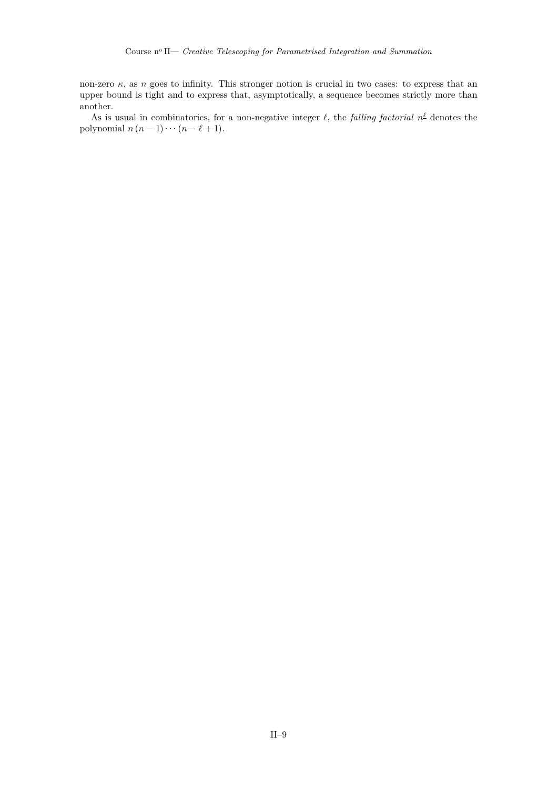non-zero *κ*, as *n* goes to infinity. This stronger notion is crucial in two cases: to express that an upper bound is tight and to express that, asymptotically, a sequence becomes strictly more than another.

As is usual in combinatorics, for a non-negative integer  $\ell$ , the *falling factorial*  $n^{\underline{\ell}}$  denotes the polynomial  $n(n-1)\cdots(n-\ell+1)$ .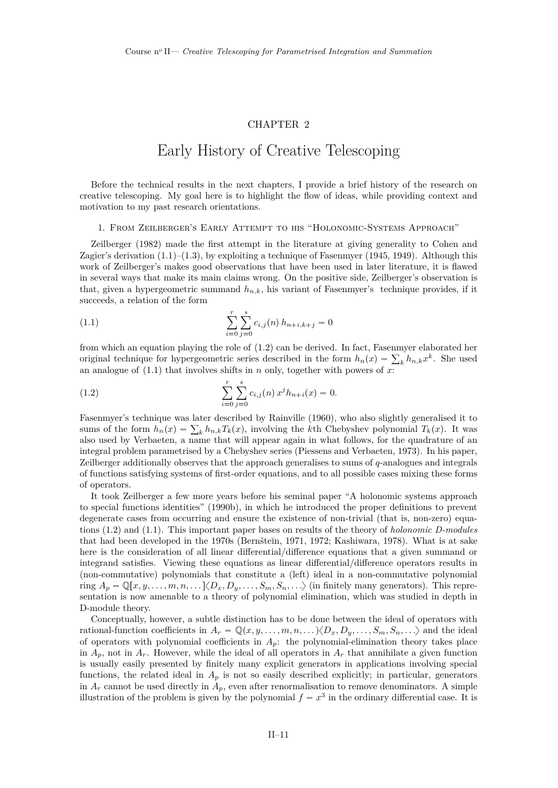### CHAPTER 2

## Early History of Creative Telescoping

<span id="page-11-0"></span>Before the technical results in the next chapters, I provide a brief history of the research on creative telescoping. My goal here is to highlight the flow of ideas, while providing context and motivation to my past research orientations.

#### 1. From Zeilberger's Early Attempt to his "Holonomic-Systems Approach"

[Zeilberger](#page-37-0) [\(1982\)](#page-37-0) made the first attempt in the literature at giving generality to Cohen and Zagier's derivation  $(1.1)$ – $(1.3)$ , by exploiting a technique of [Fasenmyer](#page-34-0) [\(1945,](#page-34-0) [1949\)](#page-34-0). Although this work of Zeilberger's makes good observations that have been used in later literature, it is flawed in several ways that make its main claims wrong. On the positive side, Zeilberger's observation is that, given a hypergeometric summand *hn,k*, his variant of Fasenmyer's technique provides, if it succeeds, a relation of the form

(1.1) 
$$
\sum_{i=0}^{r} \sum_{j=0}^{s} c_{i,j}(n) h_{n+i,k+j} = 0
$$

from which an equation playing the role of [\(1.2\)](#page-3-0) can be derived. In fact, Fasenmyer elaborated her original technique for hypergeometric series described in the form  $h_n(x) = \sum_k h_{n,k} x^k$ . She used an analogue of (1.1) that involves shifts in *n* only, together with powers of *x*:

(1.2) 
$$
\sum_{i=0}^{r} \sum_{j=0}^{s} c_{i,j}(n) x^{j} h_{n+i}(x) = 0.
$$

Fasenmyer's technique was later described by [Rainville](#page-35-0) [\(1960\)](#page-35-0), who also slightly generalised it to sums of the form  $h_n(x) = \sum_k h_{n,k} T_k(x)$ , involving the *k*th Chebyshev polynomial  $T_k(x)$ . It was also used by Verbaeten, a name that will appear again in what follows, for the quadrature of an integral problem parametrised by a Chebyshev series [\(Piessens and Verbaeten,](#page-35-0) [1973\)](#page-35-0). In his paper, Zeilberger additionally observes that the approach generalises to sums of *q*-analogues and integrals of functions satisfying systems of first-order equations, and to all possible cases mixing these forms of operators.

It took Zeilberger a few more years before his seminal paper "A holonomic systems approach to special functions identities" [\(1990b\)](#page-37-0), in which he introduced the proper definitions to prevent degenerate cases from occurring and ensure the existence of non-trivial (that is, non-zero) equations [\(1.2\)](#page-3-0) and (1.1). This important paper bases on results of the theory of *holonomic D-modules* that had been developed in the 1970s (Bernšteĭn, [1971,](#page-33-0) [1972;](#page-33-0) [Kashiwara,](#page-34-0) [1978\)](#page-34-0). What is at sake here is the consideration of all linear differential/difference equations that a given summand or integrand satisfies. Viewing these equations as linear differential/difference operators results in (non-commutative) polynomials that constitute a (left) ideal in a non-commutative polynomial ring  $A_p = \mathbb{Q}[x, y, \dots, m, n, \dots] \langle D_x, D_y, \dots, S_m, S_n, \dots \rangle$  (in finitely many generators). This representation is now amenable to a theory of polynomial elimination, which was studied in depth in D-module theory.

Conceptually, however, a subtle distinction has to be done between the ideal of operators with rational-function coefficients in  $A_r = \mathbb{Q}(x, y, \ldots, m, n, \ldots) \langle D_x, D_y, \ldots, S_m, S_n, \ldots \rangle$  and the ideal of operators with polynomial coefficients in  $A_p$ : the polynomial-elimination theory takes place in  $A_p$ , not in  $A_r$ . However, while the ideal of all operators in  $A_r$  that annihilate a given function is usually easily presented by finitely many explicit generators in applications involving special functions, the related ideal in  $A_p$  is not so easily described explicitly; in particular, generators in  $A_r$  cannot be used directly in  $A_p$ , even after renormalisation to remove denominators. A simple illustration of the problem is given by the polynomial  $f = x^3$  in the ordinary differential case. It is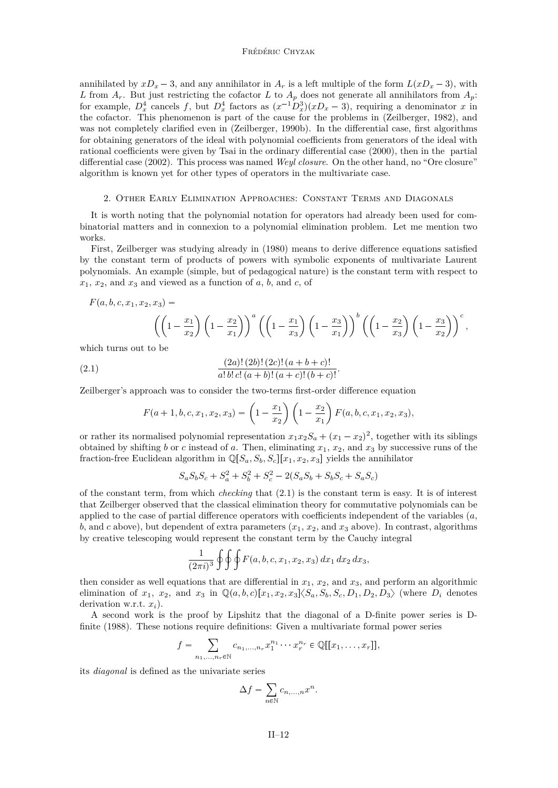#### Frédéric Chyzak

<span id="page-12-0"></span>annihilated by  $xD_x - 3$ , and any annihilator in  $A_r$  is a left multiple of the form  $L(xD_x - 3)$ , with *L* from  $A_r$ . But just restricting the cofactor *L* to  $A_p$  does not generate all annihilators from  $A_p$ : for example,  $D_x^4$  cancels f, but  $D_x^4$  factors as  $(x^{-1}D_x^3)(xD_x-3)$ , requiring a denominator x in the cofactor. This phenomenon is part of the cause for the problems in [\(Zeilberger,](#page-37-0) [1982\)](#page-37-0), and was not completely clarified even in [\(Zeilberger,](#page-37-0) [1990b\)](#page-37-0). In the differential case, first algorithms for obtaining generators of the ideal with polynomial coefficients from generators of the ideal with rational coefficients were given by Tsai in the ordinary differential case [\(2000\)](#page-36-0), then in the partial differential case [\(2002\)](#page-36-0). This process was named *Weyl closure*. On the other hand, no "Ore closure" algorithm is known yet for other types of operators in the multivariate case.

#### 2. Other Early Elimination Approaches: Constant Terms and Diagonals

It is worth noting that the polynomial notation for operators had already been used for combinatorial matters and in connexion to a polynomial elimination problem. Let me mention two works.

First, Zeilberger was studying already in [\(1980\)](#page-37-0) means to derive difference equations satisfied by the constant term of products of powers with symbolic exponents of multivariate Laurent polynomials. An example (simple, but of pedagogical nature) is the constant term with respect to  $x_1, x_2,$  and  $x_3$  and viewed as a function of *a*, *b*, and *c*, of

$$
F(a, b, c, x_1, x_2, x_3) = \left( \left( 1 - \frac{x_1}{x_2} \right) \left( 1 - \frac{x_2}{x_1} \right) \right)^a \left( \left( 1 - \frac{x_1}{x_3} \right) \left( 1 - \frac{x_3}{x_1} \right) \right)^b \left( \left( 1 - \frac{x_2}{x_3} \right) \left( 1 - \frac{x_3}{x_2} \right) \right)^c,
$$

which turns out to be

(2.1) 
$$
\frac{(2a)! (2b)! (2c)! (a+b+c)!}{a! b! c! (a+b)! (a+c)! (b+c)!}.
$$

Zeilberger's approach was to consider the two-terms first-order difference equation

$$
F(a+1,b,c,x_1,x_2,x_3) = \left(1 - \frac{x_1}{x_2}\right)\left(1 - \frac{x_2}{x_1}\right)F(a,b,c,x_1,x_2,x_3),
$$

or rather its normalised polynomial representation  $x_1x_2S_a + (x_1 - x_2)^2$ , together with its siblings obtained by shifting *b* or *c* instead of *a*. Then, eliminating  $x_1, x_2$ , and  $x_3$  by successive runs of the fraction-free Euclidean algorithm in  $\mathbb{Q}[S_a, S_b, S_c][x_1, x_2, x_3]$  yields the annihilator

$$
S_a S_b S_c + S_a^2 + S_b^2 + S_c^2 - 2(S_a S_b + S_b S_c + S_a S_c)
$$

of the constant term, from which *checking* that (2.1) is the constant term is easy. It is of interest that Zeilberger observed that the classical elimination theory for commutative polynomials can be applied to the case of partial difference operators with coefficients independent of the variables (*a*,  $b$ , and  $c$  above), but dependent of extra parameters  $(x_1, x_2, x_3)$  above). In contrast, algorithms by creative telescoping would represent the constant term by the Cauchy integral

$$
\frac{1}{(2\pi i)^3} \oint \oint F(a, b, c, x_1, x_2, x_3) dx_1 dx_2 dx_3,
$$

then consider as well equations that are differential in  $x_1, x_2$ , and  $x_3$ , and perform an algorithmic elimination of  $x_1, x_2,$  and  $x_3$  in  $\mathbb{Q}(a, b, c)[x_1, x_2, x_3]\langle S_a, S_b, S_c, D_1, D_2, D_3\rangle$  (where  $D_i$  denotes derivation w.r.t. *xi*).

A second work is the proof by Lipshitz that the diagonal of a D-finite power series is Dfinite [\(1988\)](#page-35-0). These notions require definitions: Given a multivariate formal power series

$$
f = \sum_{n_1,\ldots,n_r \in \mathbb{N}} c_{n_1,\ldots,n_r} x_1^{n_1} \cdots x_r^{n_r} \in \mathbb{Q}[[x_1,\ldots,x_r]],
$$

its *diagonal* is defined as the univariate series

$$
\Delta f = \sum_{n \in \mathbb{N}} c_{n, ..., n} x^n.
$$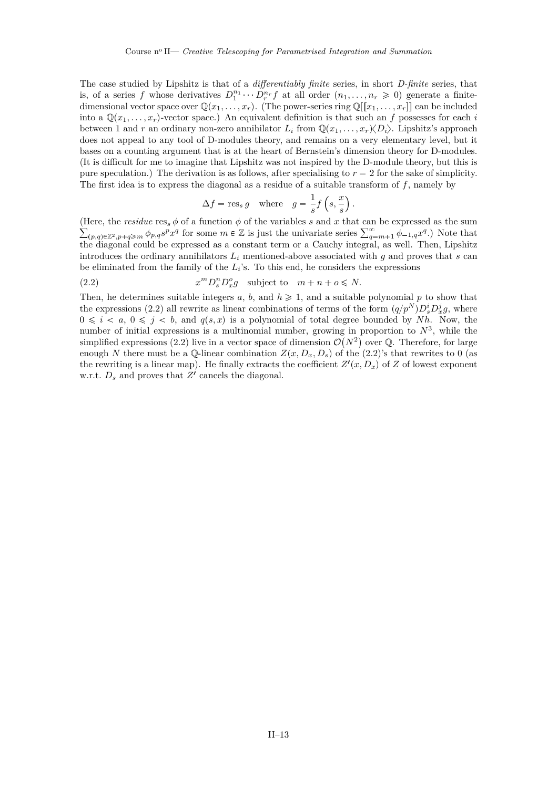The case studied by Lipshitz is that of a *differentiably finite* series, in short *D-finite* series, that is, of a series *f* whose derivatives  $D_1^{n_1} \cdots D_r^{n_r} f$  at all order  $(n_1, \ldots, n_r \geq 0)$  generate a finitedimensional vector space over  $\mathbb{Q}(x_1, \ldots, x_r)$ . (The power-series ring  $\mathbb{Q}[[x_1, \ldots, x_r]]$  can be included into a  $\mathbb{Q}(x_1, \ldots, x_r)$ -vector space.) An equivalent definition is that such an *f* possesses for each *i* between 1 and *r* an ordinary non-zero annihilator  $L_i$  from  $\mathbb{Q}(x_1, \ldots, x_r) \langle D_i \rangle$ . Lipshitz's approach does not appeal to any tool of D-modules theory, and remains on a very elementary level, but it bases on a counting argument that is at the heart of Bernstein's dimension theory for D-modules. (It is difficult for me to imagine that Lipshitz was not inspired by the D-module theory, but this is pure speculation.) The derivation is as follows, after specialising to  $r = 2$  for the sake of simplicity. The first idea is to express the diagonal as a residue of a suitable transform of *f*, namely by

$$
\Delta f = \mathop{\rm res}\nolimits_s g \quad \text{where} \quad g = \frac{1}{s} f\left(s, \frac{x}{s}\right)
$$

*.*

(Here, the *residue* res<sub>*s*</sub>  $\phi$  of a function  $\phi$  of the variables *s* and *x* that can be expressed as the sum  $\sum_{(p,q)\in\mathbb{Z}^2, p+q\geq m} \phi_{p,q}s^px^q$  for some  $m\in\mathbb{Z}$  is just the univariate series  $\sum_{q=m+1}^{\infty} \phi_{-1,q}x^q$ .) Note that the diagonal could be expressed as a constant term or a Cauchy integral, as well. Then, Lipshitz introduces the ordinary annihilators  $L_i$  mentioned-above associated with  $g$  and proves that  $s$  can be eliminated from the family of the  $L_i$ 's. To this end, he considers the expressions

(2.2) 
$$
x^m D_s^n D_x^o g \text{ subject to } m+n+o \leq N.
$$

Then, he determines suitable integers  $a, b$ , and  $h \ge 1$ , and a suitable polynomial p to show that the expressions (2.2) all rewrite as linear combinations of terms of the form  $(q/p^N)D_s^iD_x^jg$ , where  $0 \leq i \leq a, 0 \leq j \leq b$ , and  $q(s, x)$  is a polynomial of total degree bounded by *Nh*. Now, the number of initial expressions is a multinomial number, growing in proportion to  $N^3$ , while the simplified expressions (2.2) live in a vector space of dimension  $\mathcal{O}(N^2)$  over Q. Therefore, for large enough *N* there must be a Q-linear combination  $Z(x, D_x, D_s)$  of the (2.2)'s that rewrites to 0 (as the rewriting is a linear map). He finally extracts the coefficient  $Z'(x, D_x)$  of  $Z$  of lowest exponent w.r.t.  $D_s$  and proves that  $Z'$  cancels the diagonal.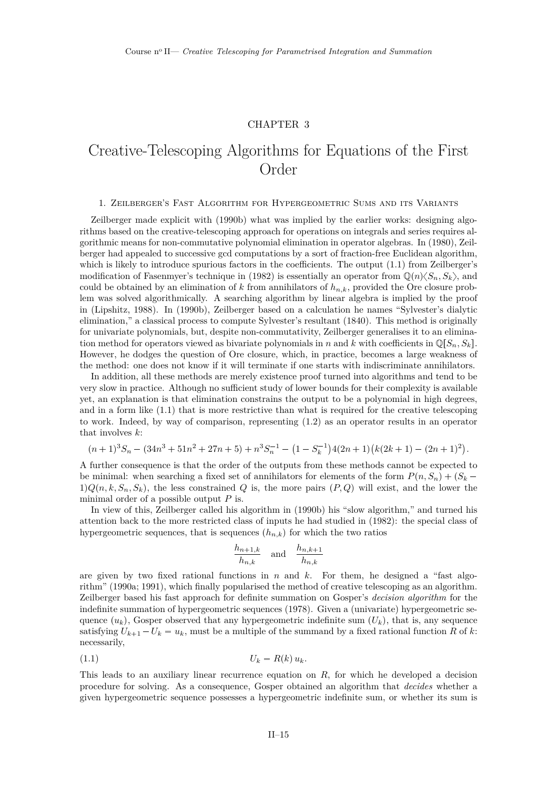## CHAPTER 3

## <span id="page-15-0"></span>Creative-Telescoping Algorithms for Equations of the First Order

#### 1. Zeilberger's Fast Algorithm for Hypergeometric Sums and its Variants

Zeilberger made explicit with [\(1990b\)](#page-37-0) what was implied by the earlier works: designing algorithms based on the creative-telescoping approach for operations on integrals and series requires algorithmic means for non-commutative polynomial elimination in operator algebras. In [\(1980\)](#page-37-0), Zeilberger had appealed to successive gcd computations by a sort of fraction-free Euclidean algorithm, which is likely to introduce spurious factors in the coefficients. The output  $(1.1)$  from Zeilberger's modification of Fasenmyer's technique in [\(1982\)](#page-37-0) is essentially an operator from  $\mathbb{Q}(n)\langle S_n, S_k \rangle$ , and could be obtained by an elimination of  $k$  from annihilators of  $h_{n,k}$ , provided the Ore closure problem was solved algorithmically. A searching algorithm by linear algebra is implied by the proof in [\(Lipshitz,](#page-35-0) [1988\)](#page-35-0). In [\(1990b\)](#page-37-0), Zeilberger based on a calculation he names "Sylvester's dialytic elimination," a classical process to compute Sylvester's resultant [\(1840\)](#page-36-0). This method is originally for univariate polynomials, but, despite non-commutativity, Zeilberger generalises it to an elimination method for operators viewed as bivariate polynomials in *n* and *k* with coefficients in  $\mathbb{Q}[S_n, S_k]$ . However, he dodges the question of Ore closure, which, in practice, becomes a large weakness of the method: one does not know if it will terminate if one starts with indiscriminate annihilators.

In addition, all these methods are merely existence proof turned into algorithms and tend to be very slow in practice. Although no sufficient study of lower bounds for their complexity is available yet, an explanation is that elimination constrains the output to be a polynomial in high degrees, and in a form like [\(1.1\)](#page-11-0) that is more restrictive than what is required for the creative telescoping to work. Indeed, by way of comparison, representing [\(1.2\)](#page-3-0) as an operator results in an operator that involves *k*:

$$
(n+1)^3S_n - (34n^3 + 51n^2 + 27n + 5) + n^3S_n^{-1} - (1 - S_k^{-1})4(2n+1)(k(2k+1) - (2n+1)^2).
$$

A further consequence is that the order of the outputs from these methods cannot be expected to be minimal: when searching a fixed set of annihilators for elements of the form  $P(n, S_n) + (S_k 1)Q(n, k, S_n, S_k)$ , the less constrained *Q* is, the more pairs  $(P, Q)$  will exist, and the lower the minimal order of a possible output *P* is.

In view of this, Zeilberger called his algorithm in [\(1990b\)](#page-37-0) his "slow algorithm," and turned his attention back to the more restricted class of inputs he had studied in [\(1982\)](#page-37-0): the special class of hypergeometric sequences, that is sequences  $(h_{n,k})$  for which the two ratios

$$
\frac{h_{n+1,k}}{h_{n,k}} \quad \text{and} \quad \frac{h_{n,k+1}}{h_{n,k}}
$$

are given by two fixed rational functions in  $n$  and  $k$ . For them, he designed a "fast algorithm" [\(1990a;](#page-37-0) [1991\)](#page-37-0), which finally popularised the method of creative telescoping as an algorithm. Zeilberger based his fast approach for definite summation on Gosper's *decision algorithm* for the indefinite summation of hypergeometric sequences [\(1978\)](#page-34-0). Given a (univariate) hypergeometric sequence  $(u_k)$ , Gosper observed that any hypergeometric indefinite sum  $(U_k)$ , that is, any sequence satisfying  $U_{k+1} - U_k = u_k$ , must be a multiple of the summand by a fixed rational function *R* of *k*: necessarily,

$$
(1.1) \t\t\t U_k = R(k) u_k.
$$

This leads to an auxiliary linear recurrence equation on *R*, for which he developed a decision procedure for solving. As a consequence, Gosper obtained an algorithm that *decides* whether a given hypergeometric sequence possesses a hypergeometric indefinite sum, or whether its sum is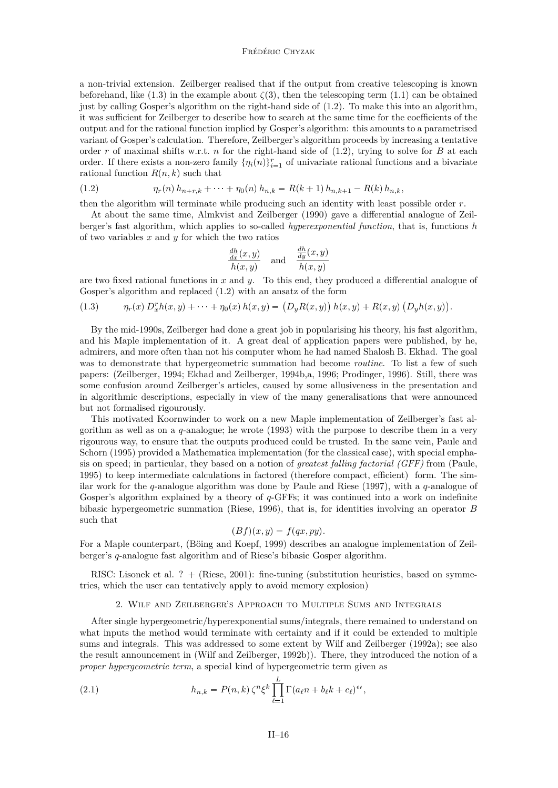#### Frédéric Chyzak

<span id="page-16-0"></span>a non-trivial extension. Zeilberger realised that if the output from creative telescoping is known beforehand, like [\(1.3\)](#page-3-0) in the example about  $\zeta(3)$ , then the telescoping term [\(1.1\)](#page-3-0) can be obtained just by calling Gosper's algorithm on the right-hand side of [\(1.2\)](#page-3-0). To make this into an algorithm, it was sufficient for Zeilberger to describe how to search at the same time for the coefficients of the output and for the rational function implied by Gosper's algorithm: this amounts to a parametrised variant of Gosper's calculation. Therefore, Zeilberger's algorithm proceeds by increasing a tentative order *r* of maximal shifts w.r.t. *n* for the right-hand side of [\(1.2\)](#page-3-0), trying to solve for *B* at each order. If there exists a non-zero family  $\{\eta_i(n)\}_{i=1}^r$  of univariate rational functions and a bivariate rational function  $R(n, k)$  such that

(1.2) 
$$
\eta_r(n) h_{n+r,k} + \cdots + \eta_0(n) h_{n,k} = R(k+1) h_{n,k+1} - R(k) h_{n,k},
$$

then the algorithm will terminate while producing such an identity with least possible order *r*.

At about the same time, [Almkvist and Zeilberger](#page-33-0) [\(1990\)](#page-33-0) gave a differential analogue of Zeilberger's fast algorithm, which applies to so-called *hyperexponential function*, that is, functions *h* of two variables *x* and *y* for which the two ratios

$$
\frac{\frac{dh}{dx}(x,y)}{h(x,y)} \quad \text{and} \quad \frac{\frac{dh}{dy}(x,y)}{h(x,y)}
$$

are two fixed rational functions in *x* and *y*. To this end, they produced a differential analogue of Gosper's algorithm and replaced (1.2) with an ansatz of the form

(1.3) 
$$
\eta_r(x) D_x^r h(x, y) + \cdots + \eta_0(x) h(x, y) = (D_y R(x, y)) h(x, y) + R(x, y) (D_y h(x, y)).
$$

By the mid-1990s, Zeilberger had done a great job in popularising his theory, his fast algorithm, and his Maple implementation of it. A great deal of application papers were published, by he, admirers, and more often than not his computer whom he had named Shalosh B. Ekhad. The goal was to demonstrate that hypergeometric summation had become *routine*. To list a few of such papers: [\(Zeilberger,](#page-37-0) [1994;](#page-37-0) [Ekhad and Zeilberger,](#page-34-0) [1994b,a,](#page-34-0) [1996;](#page-34-0) [Prodinger,](#page-35-0) [1996\)](#page-35-0). Still, there was some confusion around Zeilberger's articles, caused by some allusiveness in the presentation and in algorithmic descriptions, especially in view of the many generalisations that were announced but not formalised rigourously.

This motivated Koornwinder to work on a new Maple implementation of Zeilberger's fast algorithm as well as on a *q*-analogue; he wrote [\(1993\)](#page-34-0) with the purpose to describe them in a very rigourous way, to ensure that the outputs produced could be trusted. In the same vein, [Paule and](#page-35-0) [Schorn](#page-35-0) [\(1995\)](#page-35-0) provided a Mathematica implementation (for the classical case), with special emphasis on speed; in particular, they based on a notion of *greatest falling factorial (GFF)* from [\(Paule,](#page-35-0) [1995\)](#page-35-0) to keep intermediate calculations in factored (therefore compact, efficient) form. The similar work for the *q*-analogue algorithm was done by [Paule and Riese](#page-35-0) [\(1997\)](#page-35-0), with a *q*-analogue of Gosper's algorithm explained by a theory of *q*-GFFs; it was continued into a work on indefinite bibasic hypergeometric summation [\(Riese,](#page-35-0) [1996\)](#page-35-0), that is, for identities involving an operator *B* such that

$$
(Bf)(x,y) = f(qx, py).
$$

For a Maple counterpart, [\(Böing and Koepf,](#page-33-0) [1999\)](#page-33-0) describes an analogue implementation of Zeilberger's *q*-analogue fast algorithm and of Riese's bibasic Gosper algorithm.

RISC: Lisonek et al. ? + [\(Riese,](#page-35-0) [2001\)](#page-35-0): fine-tuning (substitution heuristics, based on symmetries, which the user can tentatively apply to avoid memory explosion)

#### 2. Wilf and Zeilberger's Approach to Multiple Sums and Integrals

After single hypergeometric/hyperexponential sums/integrals, there remained to understand on what inputs the method would terminate with certainty and if it could be extended to multiple sums and integrals. This was addressed to some extent by [Wilf and Zeilberger](#page-36-0) [\(1992a\)](#page-36-0); see also the result announcement in [\(Wilf and Zeilberger,](#page-36-0) [1992b\)](#page-36-0)). There, they introduced the notion of a *proper hypergeometric term*, a special kind of hypergeometric term given as

(2.1) 
$$
h_{n,k} = P(n,k) \zeta^n \xi^k \prod_{\ell=1}^L \Gamma(a_{\ell}n + b_{\ell}k + c_{\ell})^{\epsilon_{\ell}},
$$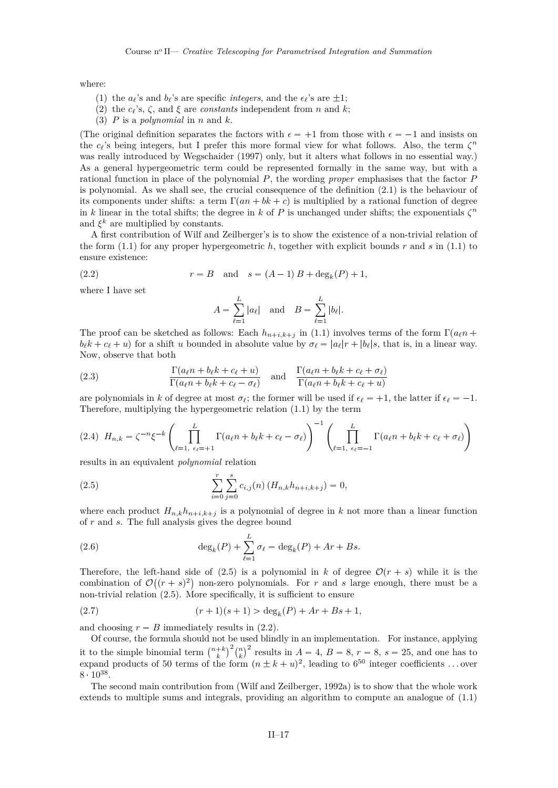<span id="page-17-0"></span>where:

- (1) the  $a_{\ell}$ 's and  $b_{\ell}$ 's are specific *integers*, and the  $\epsilon_{\ell}$ 's are  $\pm 1$ ;
- (2) the  $c_{\ell}$ 's,  $\zeta$ , and  $\xi$  are *constants* independent from *n* and *k*;
- (3) *P* is a *polynomial* in *n* and *k*.

(The original definition separates the factors with  $\epsilon = +1$  from those with  $\epsilon = -1$  and insists on the  $c_{\ell}$ 's being integers, but I prefer this more formal view for what follows. Also, the term  $\zeta^{n}$ was really introduced by [Wegschaider](#page-36-0) [\(1997\)](#page-36-0) only, but it alters what follows in no essential way.) As a general hypergeometric term could be represented formally in the same way, but with a rational function in place of the polynomial *P*, the wording *proper* emphasises that the factor *P* is polynomial. As we shall see, the crucial consequence of the definition [\(2.1\)](#page-16-0) is the behaviour of its components under shifts: a term  $\Gamma(an + bk + c)$  is multiplied by a rational function of degree in *k* linear in the total shifts; the degree in *k* of *P* is unchanged under shifts; the exponentials  $\zeta^n$ and  $\xi^k$  are multiplied by constants.

A first contribution of Wilf and Zeilberger's is to show the existence of a non-trivial relation of the form [\(1.1\)](#page-11-0) for any proper hypergeometric *h*, together with explicit bounds *r* and *s* in [\(1.1\)](#page-11-0) to ensure existence:

(2.2) 
$$
r = B
$$
 and  $s = (A - 1)B + degk(P) + 1$ ,

where I have set

$$
A = \sum_{\ell=1}^{L} |a_{\ell}| \quad \text{and} \quad B = \sum_{\ell=1}^{L} |b_{\ell}|.
$$

The proof can be sketched as follows: Each  $h_{n+i,k+j}$  in [\(1.1\)](#page-11-0) involves terms of the form  $\Gamma(a_\ell n + \ell)$  $b_{\ell}k + c_{\ell} + u$  for a shift *u* bounded in absolute value by  $\sigma_{\ell} = |a_{\ell}|r + |b_{\ell}|s$ , that is, in a linear way. Now, observe that both

(2.3) 
$$
\frac{\Gamma(a_{\ell}n + b_{\ell}k + c_{\ell} + u)}{\Gamma(a_{\ell}n + b_{\ell}k + c_{\ell} - \sigma_{\ell})} \text{ and } \frac{\Gamma(a_{\ell}n + b_{\ell}k + c_{\ell} + \sigma_{\ell})}{\Gamma(a_{\ell}n + b_{\ell}k + c_{\ell} + u)}
$$

are polynomials in *k* of degree at most  $\sigma_\ell$ ; the former will be used if  $\epsilon_\ell = +1$ , the latter if  $\epsilon_\ell = -1$ . Therefore, multiplying the hypergeometric relation [\(1.1\)](#page-11-0) by the term

$$
(2.4) \quad H_{n,k} = \zeta^{-n} \xi^{-k} \left( \prod_{\ell=1, \ \epsilon_\ell = +1}^L \Gamma(a_\ell n + b_\ell k + c_\ell - \sigma_\ell) \right)^{-1} \left( \prod_{\ell=1, \ \epsilon_\ell = -1}^L \Gamma(a_\ell n + b_\ell k + c_\ell + \sigma_\ell) \right)
$$

results in an equivalent *polynomial* relation

(2.5) 
$$
\sum_{i=0}^{r} \sum_{j=0}^{s} c_{i,j}(n) (H_{n,k} h_{n+i,k+j}) = 0,
$$

where each product  $H_{n,k}h_{n+i,k+j}$  is a polynomial of degree in k not more than a linear function of *r* and *s*. The full analysis gives the degree bound

(2.6) 
$$
\deg_k(P) + \sum_{\ell=1}^L \sigma_\ell = \deg_k(P) + Ar + Bs.
$$

Therefore, the left-hand side of (2.5) is a polynomial in *k* of degree  $\mathcal{O}(r+s)$  while it is the combination of  $\mathcal{O}((r+s)^2)$  non-zero polynomials. For *r* and *s* large enough, there must be a non-trivial relation (2.5). More specifically, it is sufficient to ensure

(2.7) 
$$
(r+1)(s+1) > \deg_k(P) + Ar + Bs + 1,
$$

and choosing  $r = B$  immediately results in  $(2.2)$ .

Of course, the formula should not be used blindly in an implementation. For instance, applying it to the simple binomial term  $\binom{n+k}{k}^2 \binom{n}{k}^2$  results in  $A = 4$ ,  $B = 8$ ,  $r = 8$ ,  $s = 25$ , and one has to expand products of 50 terms of the form  $(n \pm k + u)^2$ , leading to  $6^{50}$  integer coefficients ... over  $8 \cdot 10^{38}$ .

The second main contribution from [\(Wilf and Zeilberger,](#page-36-0) [1992a\)](#page-36-0) is to show that the whole work extends to multiple sums and integrals, providing an algorithm to compute an analogue of [\(1.1\)](#page-11-0)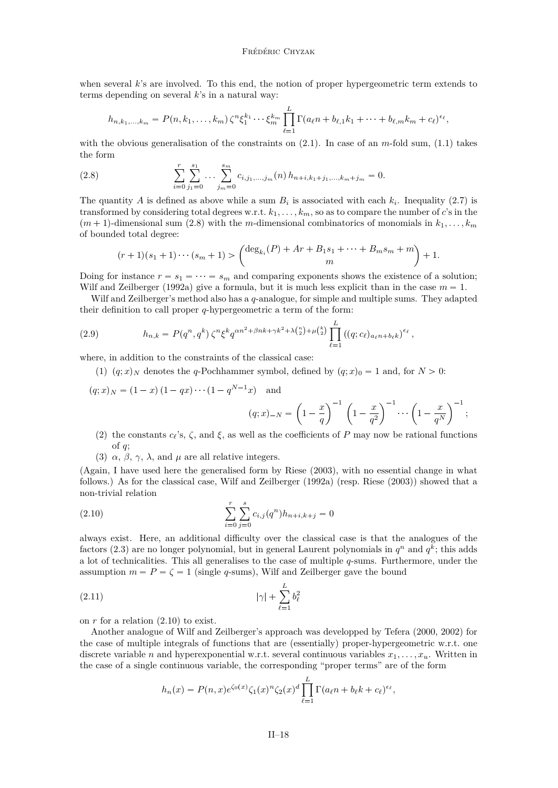<span id="page-18-0"></span>when several *k*'s are involved. To this end, the notion of proper hypergeometric term extends to terms depending on several *k*'s in a natural way:

$$
h_{n,k_1,...,k_m} = P(n, k_1,...,k_m) \zeta^n \xi_1^{k_1} \cdots \xi_m^{k_m} \prod_{\ell=1}^L \Gamma(a_{\ell} n + b_{\ell,1} k_1 + \cdots + b_{\ell,m} k_m + c_{\ell})^{\epsilon_{\ell}},
$$

with the obvious generalisation of the constraints on  $(2.1)$ . In case of an *m*-fold sum,  $(1.1)$  takes the form

(2.8) 
$$
\sum_{i=0}^{r} \sum_{j_1=0}^{s_1} \dots \sum_{j_m=0}^{s_m} c_{i,j_1,...,j_m}(n) h_{n+i,k_1+j_1,...,k_m+j_m} = 0.
$$

The quantity A is defined as above while a sum  $B_i$  is associated with each  $k_i$ . Inequality [\(2.7\)](#page-17-0) is transformed by considering total degrees w.r.t.  $k_1, \ldots, k_m$ , so as to compare the number of *c*'s in the  $(m+1)$ -dimensional sum (2.8) with the *m*-dimensional combinatorics of monomials in  $k_1, \ldots, k_m$ of bounded total degree:

$$
(r+1)(s_1+1)\cdots(s_m+1) > \begin{pmatrix} \deg_{k_i}(P) + Ar + B_1s_1 + \cdots + B_ms_m + m \\ m \end{pmatrix} + 1.
$$

Doing for instance  $r = s_1 = \cdots = s_m$  and comparing exponents shows the existence of a solution; [Wilf and Zeilberger](#page-36-0) [\(1992a\)](#page-36-0) give a formula, but it is much less explicit than in the case  $m = 1$ .

Wilf and Zeilberger's method also has a *q*-analogue, for simple and multiple sums. They adapted their definition to call proper *q*-hypergeometric a term of the form:

(2.9) 
$$
h_{n,k} = P(q^n, q^k) \zeta^n \xi^k q^{\alpha n^2 + \beta n k + \gamma k^2 + \lambda {n \choose 2} + \mu {k \choose 2}} \prod_{\ell=1}^L ((q; c_\ell)_{a_\ell n + b_\ell k})^{\epsilon_\ell},
$$

where, in addition to the constraints of the classical case:

(1)  $(q; x)_N$  denotes the *q*-Pochhammer symbol, defined by  $(q; x)_0 = 1$  and, for  $N > 0$ :

$$
(q; x)_N = (1 - x)(1 - qx) \cdots (1 - q^{N-1}x) \quad \text{and}
$$
\n
$$
(q; x)_{-N} = \left(1 - \frac{x}{q}\right)^{-1} \left(1 - \frac{x}{q^2}\right)^{-1} \cdots \left(1 - \frac{x}{q^N}\right)^{-1};
$$
\n(2) the constants a is  $\zeta$  and  $\zeta$  as well as the coefficients of *P* may now be rational functions.

- (2) the constants  $c_{\ell}$ 's,  $\zeta$ , and  $\xi$ , as well as the coefficients of *P* may now be rational functions of *q*;
- (3)  $\alpha$ ,  $\beta$ ,  $\gamma$ ,  $\lambda$ , and  $\mu$  are all relative integers.

(Again, I have used here the generalised form by [Riese](#page-35-0) [\(2003\)](#page-35-0), with no essential change in what follows.) As for the classical case, [Wilf and Zeilberger](#page-36-0) [\(1992a\)](#page-36-0) (resp. [Riese](#page-35-0) [\(2003\)](#page-35-0)) showed that a non-trivial relation

(2.10) 
$$
\sum_{i=0}^{r} \sum_{j=0}^{s} c_{i,j}(q^n) h_{n+i,k+j} = 0
$$

always exist. Here, an additional difficulty over the classical case is that the analogues of the factors [\(2.3\)](#page-17-0) are no longer polynomial, but in general Laurent polynomials in  $q^n$  and  $q^k$ ; this adds a lot of technicalities. This all generalises to the case of multiple *q*-sums. Furthermore, under the assumption  $m = P = \zeta = 1$  (single *q*-sums), Wilf and Zeilberger gave the bound

$$
|\gamma| + \sum_{\ell=1}^{L} b_{\ell}^2
$$

on *r* for a relation (2.10) to exist.

Another analogue of Wilf and Zeilberger's approach was developped by [Tefera](#page-36-0) [\(2000,](#page-36-0) [2002\)](#page-36-0) for the case of multiple integrals of functions that are (essentially) proper-hypergeometric w.r.t. one discrete variable *n* and hyperexponential w.r.t. several continuous variables  $x_1, \ldots, x_u$ . Written in the case of a single continuous variable, the corresponding "proper terms" are of the form

$$
h_n(x) = P(n, x)e^{\zeta_0(x)} \zeta_1(x)^n \zeta_2(x)^d \prod_{\ell=1}^L \Gamma(a_{\ell}n + b_{\ell}k + c_{\ell})^{\epsilon_{\ell}},
$$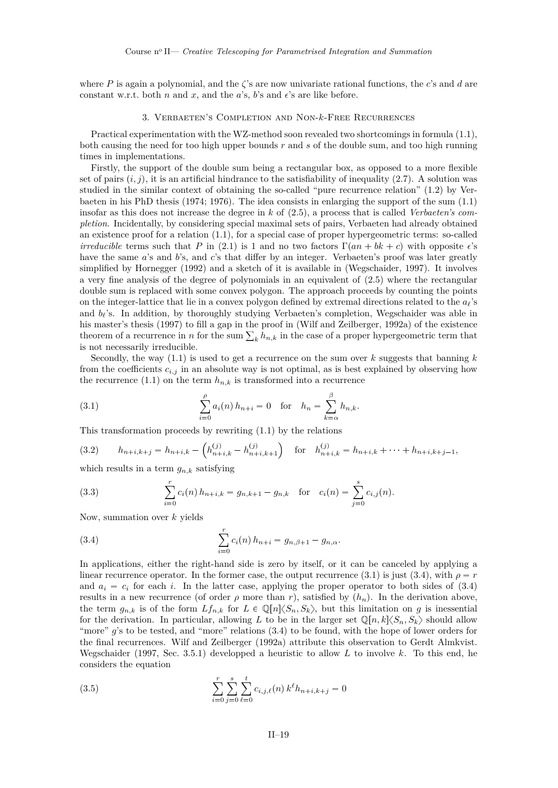<span id="page-19-0"></span>where *P* is again a polynomial, and the *ζ*'s are now univariate rational functions, the *c*'s and *d* are constant w.r.t. both *n* and *x*, and the *a*'s, *b*'s and  $\epsilon$ 's are like before.

#### 3. Verbaeten's Completion and Non-*k*-Free Recurrences

Practical experimentation with the WZ-method soon revealed two shortcomings in formula [\(1.1\)](#page-11-0), both causing the need for too high upper bounds *r* and *s* of the double sum, and too high running times in implementations.

Firstly, the support of the double sum being a rectangular box, as opposed to a more flexible set of pairs  $(i, j)$ , it is an artificial hindrance to the satisfiability of inequality  $(2.7)$ . A solution was studied in the similar context of obtaining the so-called "pure recurrence relation" [\(1.2\)](#page-11-0) by Verbaeten in his PhD thesis [\(1974;](#page-36-0) [1976\)](#page-36-0). The idea consists in enlarging the support of the sum [\(1.1\)](#page-11-0) insofar as this does not increase the degree in *k* of [\(2.5\)](#page-17-0), a process that is called *Verbaeten's completion*. Incidentally, by considering special maximal sets of pairs, Verbaeten had already obtained an existence proof for a relation [\(1.1\)](#page-11-0), for a special case of proper hypergeometric terms: so-called *irreducible* terms such that *P* in [\(2.1\)](#page-16-0) is 1 and no two factors  $\Gamma(an + bk + c)$  with opposite  $\epsilon$ 's have the same *a*'s and *b*'s, and *c*'s that differ by an integer. Verbaeten's proof was later greatly simplified by [Hornegger](#page-34-0) [\(1992\)](#page-34-0) and a sketch of it is available in [\(Wegschaider,](#page-36-0) [1997\)](#page-36-0). It involves a very fine analysis of the degree of polynomials in an equivalent of [\(2.5\)](#page-17-0) where the rectangular double sum is replaced with some convex polygon. The approach proceeds by counting the points on the integer-lattice that lie in a convex polygon defined by extremal directions related to the *a`*'s and  $b_{\ell}$ 's. In addition, by thoroughly studying Verbaeten's completion, Wegschaider was able in his master's thesis [\(1997\)](#page-36-0) to fill a gap in the proof in [\(Wilf and Zeilberger,](#page-36-0) [1992a\)](#page-36-0) of the existence theorem of a recurrence in *n* for the sum  $\sum_{k} h_{n,k}$  in the case of a proper hypergeometric term that is not necessarily irreducible.

Secondly, the way [\(1.1\)](#page-11-0) is used to get a recurrence on the sum over *k* suggests that banning *k* from the coefficients  $c_{i,j}$  in an absolute way is not optimal, as is best explained by observing how the recurrence  $(1.1)$  on the term  $h_{n,k}$  is transformed into a recurrence

(3.1) 
$$
\sum_{i=0}^{\rho} a_i(n) h_{n+i} = 0 \text{ for } h_n = \sum_{k=\alpha}^{\beta} h_{n,k}.
$$

This transformation proceeds by rewriting [\(1.1\)](#page-11-0) by the relations

(3.2) 
$$
h_{n+i,k+j} = h_{n+i,k} - \left( h_{n+i,k}^{(j)} - h_{n+i,k+1}^{(j)} \right) \text{ for } h_{n+i,k}^{(j)} = h_{n+i,k} + \dots + h_{n+i,k+j-1},
$$

which results in a term  $g_{n,k}$  satisfying

(3.3) 
$$
\sum_{i=0}^{r} c_i(n) h_{n+i,k} = g_{n,k+1} - g_{n,k} \text{ for } c_i(n) = \sum_{j=0}^{s} c_{i,j}(n).
$$

Now, summation over *k* yields

(3.4) 
$$
\sum_{i=0}^{r} c_i(n) h_{n+i} = g_{n,\beta+1} - g_{n,\alpha}.
$$

In applications, either the right-hand side is zero by itself, or it can be canceled by applying a linear recurrence operator. In the former case, the output recurrence (3.1) is just (3.4), with  $\rho = r$ and  $a_i = c_i$  for each *i*. In the latter case, applying the proper operator to both sides of  $(3.4)$ results in a new recurrence (of order  $\rho$  more than  $r$ ), satisfied by  $(h_n)$ . In the derivation above, the term  $g_{n,k}$  is of the form  $Lf_{n,k}$  for  $L \in \mathbb{Q}[n]\langle S_n, S_k\rangle$ , but this limitation on *g* is inessential for the derivation. In particular, allowing *L* to be in the larger set  $\mathbb{Q}[n,k]\langle S_n, S_k\rangle$  should allow "more" g's to be tested, and "more" relations (3.4) to be found, with the hope of lower orders for the final recurrences. [Wilf and Zeilberger](#page-36-0) [\(1992a\)](#page-36-0) attribute this observation to Gerdt Almkvist. [Wegschaider](#page-36-0) [\(1997,](#page-36-0) Sec. 3.5.1) developped a heuristic to allow *L* to involve *k*. To this end, he considers the equation

(3.5) 
$$
\sum_{i=0}^{r} \sum_{j=0}^{s} \sum_{\ell=0}^{t} c_{i,j,\ell}(n) k^{\ell} h_{n+i,k+j} = 0
$$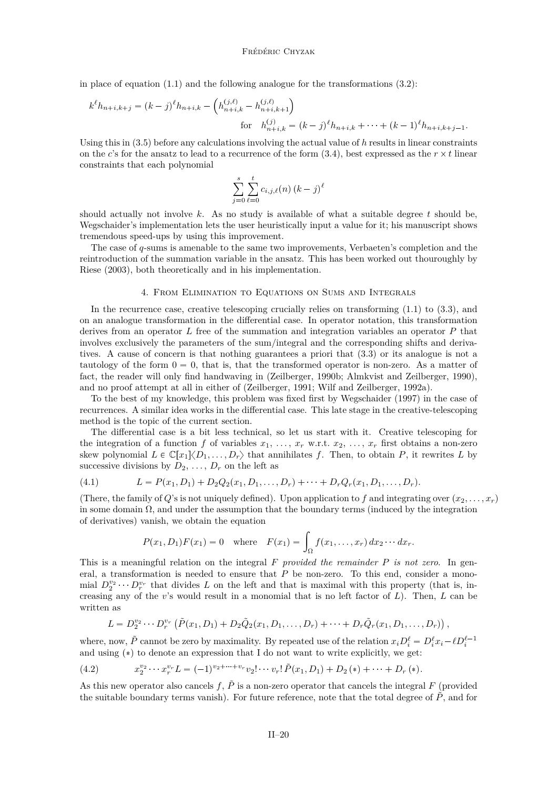<span id="page-20-0"></span>in place of equation  $(1.1)$  and the following analogue for the transformations  $(3.2)$ :

$$
k^{\ell}h_{n+i,k+j} = (k-j)^{\ell}h_{n+i,k} - \left(h_{n+i,k}^{(j,\ell)} - h_{n+i,k+1}^{(j,\ell)}\right)
$$
  
for  $h_{n+i,k}^{(j)} = (k-j)^{\ell}h_{n+i,k} + \dots + (k-1)^{\ell}h_{n+i,k+j-1}.$ 

Using this in [\(3.5\)](#page-19-0) before any calculations involving the actual value of *h* results in linear constraints on the *c*'s for the ansatz to lead to a recurrence of the form  $(3.4)$ , best expressed as the  $r \times t$  linear constraints that each polynomial

$$
\sum_{j=0}^{s} \sum_{\ell=0}^{t} c_{i,j,\ell}(n) (k-j)^{\ell}
$$

should actually not involve *k*. As no study is available of what a suitable degree *t* should be, Wegschaider's implementation lets the user heuristically input a value for it; his manuscript shows tremendous speed-ups by using this improvement.

The case of *q*-sums is amenable to the same two improvements, Verbaeten's completion and the reintroduction of the summation variable in the ansatz. This has been worked out thouroughly by [Riese](#page-35-0) [\(2003\)](#page-35-0), both theoretically and in his implementation.

#### 4. From Elimination to Equations on Sums and Integrals

In the recurrence case, creative telescoping crucially relies on transforming [\(1.1\)](#page-11-0) to [\(3.3\)](#page-19-0), and on an analogue transformation in the differential case. In operator notation, this transformation derives from an operator *L* free of the summation and integration variables an operator *P* that involves exclusively the parameters of the sum/integral and the corresponding shifts and derivatives. A cause of concern is that nothing guarantees a priori that [\(3.3\)](#page-19-0) or its analogue is not a tautology of the form  $0 = 0$ , that is, that the transformed operator is non-zero. As a matter of fact, the reader will only find handwaving in [\(Zeilberger,](#page-37-0) [1990b;](#page-37-0) [Almkvist and Zeilberger,](#page-33-0) [1990\)](#page-33-0), and no proof attempt at all in either of [\(Zeilberger,](#page-37-0) [1991;](#page-37-0) [Wilf and Zeilberger,](#page-36-0) [1992a\)](#page-36-0).

To the best of my knowledge, this problem was fixed first by [Wegschaider](#page-36-0) [\(1997\)](#page-36-0) in the case of recurrences. A similar idea works in the differential case. This late stage in the creative-telescoping method is the topic of the current section.

The differential case is a bit less technical, so let us start with it. Creative telescoping for the integration of a function f of variables  $x_1, \ldots, x_r$  w.r.t.  $x_2, \ldots, x_r$  first obtains a non-zero skew polynomial  $L \in \mathbb{C}[x_1]\langle D_1,\ldots,D_r\rangle$  that annihilates *f*. Then, to obtain *P*, it rewrites *L* by successive divisions by  $D_2, \ldots, D_r$  on the left as

(4.1) 
$$
L = P(x_1, D_1) + D_2 Q_2(x_1, D_1, \ldots, D_r) + \cdots + D_r Q_r(x_1, D_1, \ldots, D_r).
$$

(There, the family of *Q*'s is not uniquely defined). Upon application to *f* and integrating over  $(x_2, \ldots, x_r)$ in some domain  $\Omega$ , and under the assumption that the boundary terms (induced by the integration of derivatives) vanish, we obtain the equation

$$
P(x_1, D_1)F(x_1) = 0 \quad \text{where} \quad F(x_1) = \int_{\Omega} f(x_1, \dots, x_r) dx_2 \cdots dx_r.
$$

This is a meaningful relation on the integral *F provided the remainder P is not zero*. In general, a transformation is needed to ensure that *P* be non-zero. To this end, consider a monomial  $D_2^{v_2}$   $\cdots$   $D_r^{v_r}$  that divides *L* on the left and that is maximal with this property (that is, increasing any of the *v*'s would result in a monomial that is no left factor of *L*). Then, *L* can be written as

$$
L = D_2^{v_2} \cdots D_r^{v_r} \left( \tilde{P}(x_1, D_1) + D_2 \tilde{Q}_2(x_1, D_1, \ldots, D_r) + \cdots + D_r \tilde{Q}_r(x_1, D_1, \ldots, D_r) \right),
$$

where, now,  $\tilde{P}$  cannot be zero by maximality. By repeated use of the relation  $x_i D_i^{\ell} = D_i^{\ell} x_i - \ell D_i^{\ell-1}$ and using  $(*)$  to denote an expression that I do not want to write explicitly, we get:

(4.2) 
$$
x_2^{v_2} \cdots x_r^{v_r} L = (-1)^{v_2 + \cdots + v_r} v_2! \cdots v_r! \tilde{P}(x_1, D_1) + D_2(*) + \cdots + D_r(*)
$$

As this new operator also cancels  $f$ ,  $\tilde{P}$  is a non-zero operator that cancels the integral F (provided the suitable boundary terms vanish). For future reference, note that the total degree of  $\tilde{P}$ , and for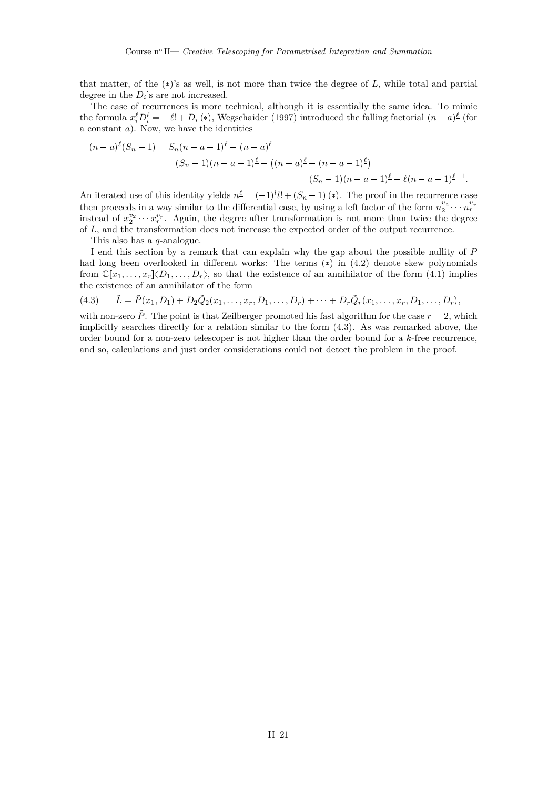<span id="page-21-0"></span>that matter, of the  $(*)$ 's as well, is not more than twice the degree of  $L$ , while total and partial degree in the  $D_i$ 's are not increased.

The case of recurrences is more technical, although it is essentially the same idea. To mimic the formula  $x_i^{\ell}D_i^{\ell} = -\ell! + D_i(*)$ , [Wegschaider](#page-36-0) [\(1997\)](#page-36-0) introduced the falling factorial  $(n-a)^{\ell}$  (for a constant *a*). Now, we have the identities

$$
(n-a)^{\ell}(S_n-1) = S_n(n-a-1)^{\ell} - (n-a)^{\ell} =
$$
  

$$
(S_n-1)(n-a-1)^{\ell} - ((n-a)^{\ell} - (n-a-1)^{\ell}) =
$$
  

$$
(S_n-1)(n-a-1)^{\ell} - \ell(n-a-1)^{\ell-1}.
$$

An iterated use of this identity yields  $n^{\ell} = (-1)^{l}l! + (S_n - 1)(*)$ . The proof in the recurrence case then proceeds in a way similar to the differential case, by using a left factor of the form  $n_2^{v_2} \cdots n_r^{v_r}$ instead of  $x_2^{v_2}$   $\cdots$   $x_r^{v_r}$ . Again, the degree after transformation is not more than twice the degree of *L*, and the transformation does not increase the expected order of the output recurrence.

This also has a *q*-analogue.

I end this section by a remark that can explain why the gap about the possible nullity of *P* had long been overlooked in different works: The terms  $(*)$  in  $(4.2)$  denote skew polynomials from  $\mathbb{C}[x_1,\ldots,x_r]\langle D_1,\ldots,D_r\rangle$ , so that the existence of an annihilator of the form [\(4.1\)](#page-20-0) implies the existence of an annihilator of the form

$$
(4.3) \qquad \tilde{L} = \tilde{P}(x_1, D_1) + D_2 \tilde{Q}_2(x_1, \dots, x_r, D_1, \dots, D_r) + \dots + D_r \tilde{Q}_r(x_1, \dots, x_r, D_1, \dots, D_r),
$$

with non-zero  $\tilde{P}$ . The point is that Zeilberger promoted his fast algorithm for the case  $r = 2$ , which implicitly searches directly for a relation similar to the form (4.3). As was remarked above, the order bound for a non-zero telescoper is not higher than the order bound for a *k*-free recurrence, and so, calculations and just order considerations could not detect the problem in the proof.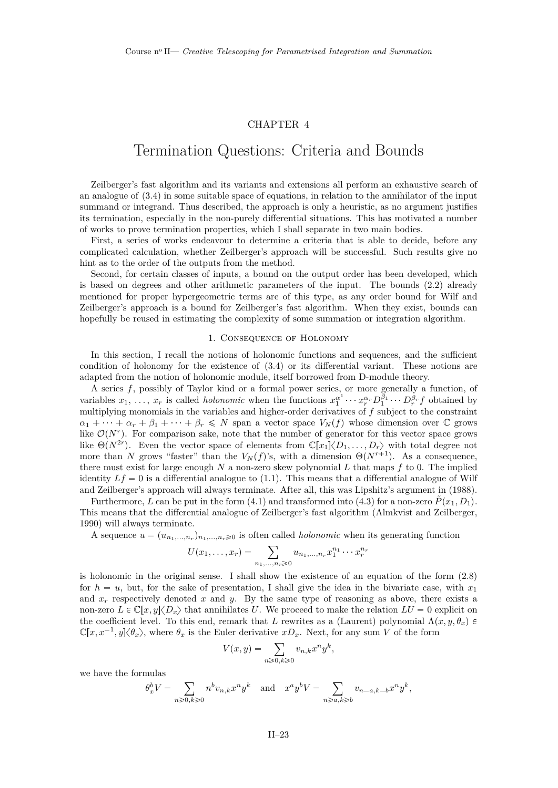## CHAPTER 4

## <span id="page-23-0"></span>Termination Questions: Criteria and Bounds

Zeilberger's fast algorithm and its variants and extensions all perform an exhaustive search of an analogue of [\(3.4\)](#page-19-0) in some suitable space of equations, in relation to the annihilator of the input summand or integrand. Thus described, the approach is only a heuristic, as no argument justifies its termination, especially in the non-purely differential situations. This has motivated a number of works to prove termination properties, which I shall separate in two main bodies.

First, a series of works endeavour to determine a criteria that is able to decide, before any complicated calculation, whether Zeilberger's approach will be successful. Such results give no hint as to the order of the outputs from the method.

Second, for certain classes of inputs, a bound on the output order has been developed, which is based on degrees and other arithmetic parameters of the input. The bounds [\(2.2\)](#page-17-0) already mentioned for proper hypergeometric terms are of this type, as any order bound for Wilf and Zeilberger's approach is a bound for Zeilberger's fast algorithm. When they exist, bounds can hopefully be reused in estimating the complexity of some summation or integration algorithm.

#### 1. Consequence of Holonomy

In this section, I recall the notions of holonomic functions and sequences, and the sufficient condition of holonomy for the existence of [\(3.4\)](#page-19-0) or its differential variant. These notions are adapted from the notion of holonomic module, itself borrowed from D-module theory.

A series *f*, possibly of Taylor kind or a formal power series, or more generally a function, of variables  $x_1, \ldots, x_r$  is called *holonomic* when the functions  $x_1^{\alpha^1} \cdots x_r^{\alpha_r} D_1^{\beta_1} \cdots D_r^{\beta_r} f$  obtained by multiplying monomials in the variables and higher-order derivatives of *f* subject to the constraint  $\alpha_1 + \cdots + \alpha_r + \beta_1 + \cdots + \beta_r \leq N$  span a vector space  $V_N(f)$  whose dimension over  $\mathbb C$  grows like  $\mathcal{O}(N^r)$ . For comparison sake, note that the number of generator for this vector space grows like  $\Theta(N^{2r})$ . Even the vector space of elements from  $\mathbb{C}[x_1]\langle D_1,\ldots,D_r\rangle$  with total degree not more than *N* grows "faster" than the  $V_N(f)$ 's, with a dimension  $\Theta(N^{r+1})$ . As a consequence, there must exist for large enough *N* a non-zero skew polynomial *L* that maps *f* to 0. The implied identity  $Lf = 0$  is a differential analogue to [\(1.1\)](#page-11-0). This means that a differential analogue of Wilf and Zeilberger's approach will always terminate. After all, this was Lipshitz's argument in [\(1988\)](#page-35-0).

Furthermore, *L* can be put in the form [\(4.1\)](#page-20-0) and transformed into [\(4.3\)](#page-21-0) for a non-zero  $\tilde{P}(x_1, D_1)$ . This means that the differential analogue of Zeilberger's fast algorithm [\(Almkvist and Zeilberger,](#page-33-0) [1990\)](#page-33-0) will always terminate.

A sequence  $u = (u_{n_1,...,n_r})_{n_1,...,n_r \geq 0}$  is often called *holonomic* when its generating function

$$
U(x_1,...,x_r) = \sum_{n_1,...,n_r \ge 0} u_{n_1,...,n_r} x_1^{n_1} \cdots x_r^{n_r}
$$

is holonomic in the original sense. I shall show the existence of an equation of the form [\(2.8\)](#page-18-0) for  $h = u$ , but, for the sake of presentation, I shall give the idea in the bivariate case, with  $x_1$ and  $x_r$  respectively denoted  $x$  and  $y$ . By the same type of reasoning as above, there exists a non-zero  $L \in \mathbb{C}[x, y]\langle D_x \rangle$  that annihilates *U*. We proceed to make the relation  $LU = 0$  explicit on the coefficient level. To this end, remark that *L* rewrites as a (Laurent) polynomial  $\Lambda(x, y, \theta_x)$   $\in$  $\mathbb{C}[x, x^{-1}, y]\langle \theta_x \rangle$ , where  $\theta_x$  is the Euler derivative  $xD_x$ . Next, for any sum *V* of the form

$$
V(x,y) = \sum_{n \ge 0, k \ge 0} v_{n,k} x^n y^k,
$$

we have the formulas

$$
\theta_x^b V = \sum_{n \ge 0, k \ge 0} n^b v_{n,k} x^n y^k \quad \text{and} \quad x^a y^b V = \sum_{n \ge a, k \ge b} v_{n-a,k-b} x^n y^k,
$$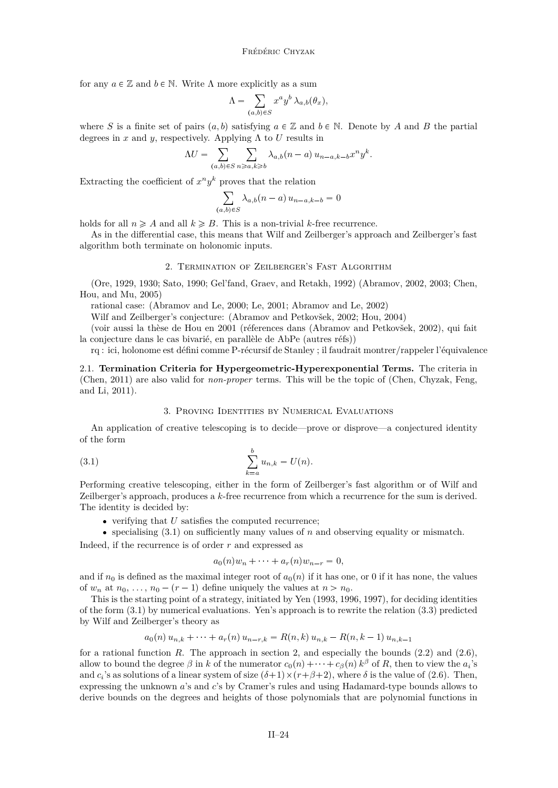<span id="page-24-0"></span>for any  $a \in \mathbb{Z}$  and  $b \in \mathbb{N}$ . Write  $\Lambda$  more explicitly as a sum

$$
\Lambda = \sum_{(a,b)\in S} x^a y^b \lambda_{a,b}(\theta_x),
$$

where *S* is a finite set of pairs  $(a, b)$  satisfying  $a \in \mathbb{Z}$  and  $b \in \mathbb{N}$ . Denote by *A* and *B* the partial degrees in  $x$  and  $y$ , respectively. Applying  $\Lambda$  to  $U$  results in

$$
\Lambda U = \sum_{(a,b)\in S} \sum_{n\geqslant a,k\geqslant b} \lambda_{a,b}(n-a) u_{n-a,k-b} x^n y^k.
$$

Extracting the coefficient of  $x^n y^k$  proves that the relation

$$
\sum_{(a,b)\in S} \lambda_{a,b}(n-a) u_{n-a,k-b} = 0
$$

holds for all  $n \geq A$  and all  $k \geq B$ . This is a non-trivial *k*-free recurrence.

As in the differential case, this means that Wilf and Zeilberger's approach and Zeilberger's fast algorithm both terminate on holonomic inputs.

#### 2. Termination of Zeilberger's Fast Algorithm

[\(Ore,](#page-35-0) [1929,](#page-35-0) [1930;](#page-35-0) [Sato,](#page-36-0) [1990;](#page-36-0) [Gel'fand, Graev, and Retakh,](#page-34-0) [1992\)](#page-34-0) [\(Abramov,](#page-33-0) [2002,](#page-33-0) [2003;](#page-33-0) [Chen,](#page-33-0) [Hou, and Mu,](#page-33-0) [2005\)](#page-33-0)

rational case: [\(Abramov and Le,](#page-33-0) [2000;](#page-33-0) [Le,](#page-35-0) [2001;](#page-35-0) [Abramov and Le,](#page-33-0) [2002\)](#page-33-0)

Wilf and Zeilberger's conjecture: [\(Abramov and Petkovšek,](#page-33-0) [2002;](#page-33-0) [Hou,](#page-34-0) [2004\)](#page-34-0)

(voir aussi la thèse de Hou en 2001 (réferences dans [\(Abramov and Petkovšek,](#page-33-0) [2002\)](#page-33-0), qui fait la conjecture dans le cas bivarié, en parallèle de AbPe (autres réfs))

rq : ici, holonome est défini comme P-récursif de Stanley ; il faudrait montrer/rappeler l'équivalence

2.1. **Termination Criteria for Hypergeometric-Hyperexponential Terms.** The criteria in [\(Chen,](#page-33-0) [2011\)](#page-33-0) are also valid for *non-proper* terms. This will be the topic of [\(Chen, Chyzak, Feng,](#page-33-0) [and Li,](#page-33-0) [2011\)](#page-33-0).

#### 3. Proving Identities by Numerical Evaluations

An application of creative telescoping is to decide—prove or disprove—a conjectured identity of the form

(3.1) 
$$
\sum_{k=a}^{b} u_{n,k} = U(n).
$$

Performing creative telescoping, either in the form of Zeilberger's fast algorithm or of Wilf and Zeilberger's approach, produces a *k*-free recurrence from which a recurrence for the sum is derived. The identity is decided by:

- $\bullet$  verifying that  $U$  satisfies the computed recurrence;
- $\bullet$  specialising (3.1) on sufficiently many values of *n* and observing equality or mismatch.

Indeed, if the recurrence is of order *r* and expressed as

$$
a_0(n)w_n + \cdots + a_r(n)w_{n-r} = 0,
$$

and if  $n_0$  is defined as the maximal integer root of  $a_0(n)$  if it has one, or 0 if it has none, the values of  $w_n$  at  $n_0, \ldots, n_0 - (r-1)$  define uniquely the values at  $n > n_0$ .

This is the starting point of a strategy, initiated by [Yen](#page-36-0) [\(1993,](#page-36-0) [1996,](#page-36-0) [1997\)](#page-36-0), for deciding identities of the form (3.1) by numerical evaluations. Yen's approach is to rewrite the relation [\(3.3\)](#page-19-0) predicted by Wilf and Zeilberger's theory as

$$
a_0(n) u_{n,k} + \cdots + a_r(n) u_{n-r,k} = R(n,k) u_{n,k} - R(n,k-1) u_{n,k-1}
$$

for a rational function *R*. The approach in section [2,](#page-16-0) and especially the bounds  $(2.2)$  and  $(2.6)$ , allow to bound the degree  $\beta$  in *k* of the numerator  $c_0(n) + \cdots + c_{\beta}(n) k^{\beta}$  of *R*, then to view the *a*<sub>*i*</sub>'s and  $c_i$ 's as solutions of a linear system of size  $(\delta+1) \times (r+\beta+2)$ , where  $\delta$  is the value of [\(2.6\)](#page-17-0). Then, expressing the unknown *a*'s and *c*'s by Cramer's rules and using Hadamard-type bounds allows to derive bounds on the degrees and heights of those polynomials that are polynomial functions in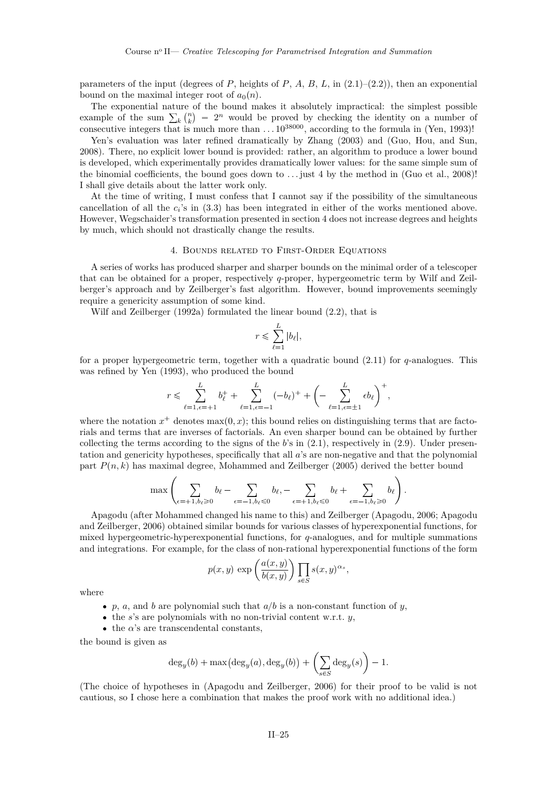<span id="page-25-0"></span>parameters of the input (degrees of  $P$ , heights of  $P$ ,  $A$ ,  $B$ ,  $L$ , in  $(2.1)$ – $(2.2)$ ), then an exponential bound on the maximal integer root of  $a_0(n)$ .

The exponential nature of the bound makes it absolutely impractical: the simplest possible example of the sum  $\sum_{k} \binom{n}{k} = 2^n$  would be proved by checking the identity on a number of consecutive integers that is much more than  $\dots$  10<sup>38000</sup>, according to the formula in [\(Yen,](#page-36-0) [1993\)](#page-36-0)!

Yen's evaluation was later refined dramatically by [Zhang](#page-37-0) [\(2003\)](#page-37-0) and [\(Guo, Hou, and Sun,](#page-34-0) [2008\)](#page-34-0). There, no explicit lower bound is provided: rather, an algorithm to produce a lower bound is developed, which experimentally provides dramatically lower values: for the same simple sum of the binomial coefficients, the bound goes down to  $\dots$  just 4 by the method in [\(Guo et al.,](#page-34-0) [2008\)](#page-34-0)! I shall give details about the latter work only.

At the time of writing, I must confess that I cannot say if the possibility of the simultaneous cancellation of all the  $c_i$ 's in [\(3.3\)](#page-19-0) has been integrated in either of the works mentioned above. However, Wegschaider's transformation presented in section [4](#page-20-0) does not increase degrees and heights by much, which should not drastically change the results.

### 4. Bounds related to First-Order Equations

A series of works has produced sharper and sharper bounds on the minimal order of a telescoper that can be obtained for a proper, respectively *q*-proper, hypergeometric term by Wilf and Zeilberger's approach and by Zeilberger's fast algorithm. However, bound improvements seemingly require a genericity assumption of some kind.

[Wilf and Zeilberger](#page-36-0) [\(1992a\)](#page-36-0) formulated the linear bound [\(2.2\)](#page-17-0), that is

$$
r \leqslant \sum_{\ell=1}^L |b_\ell|,
$$

for a proper hypergeometric term, together with a quadratic bound [\(2.11\)](#page-18-0) for *q*-analogues. This was refined by [Yen](#page-36-0) [\(1993\)](#page-36-0), who produced the bound

$$
r \leq \sum_{\ell=1,\epsilon=+1}^{L} b_{\ell}^{+} + \sum_{\ell=1,\epsilon=-1}^{L} (-b_{\ell})^{+} + \left(-\sum_{\ell=1,\epsilon=\pm 1}^{L} \epsilon b_{\ell}\right)^{+},
$$

where the notation  $x^+$  denotes max $(0, x)$ ; this bound relies on distinguishing terms that are factorials and terms that are inverses of factorials. An even sharper bound can be obtained by further collecting the terms according to the signs of the *b*'s in [\(2.1\)](#page-16-0), respectively in [\(2.9\)](#page-18-0). Under presentation and genericity hypotheses, specifically that all *a*'s are non-negative and that the polynomial part  $P(n, k)$  has maximal degree, [Mohammed and Zeilberger](#page-35-0) [\(2005\)](#page-35-0) derived the better bound

$$
\max\left(\sum_{\epsilon=+1,b_{\ell}\geq 0}b_{\ell}-\sum_{\epsilon=-1,b_{\ell}\leq 0}b_{\ell},-\sum_{\epsilon=+1,b_{\ell}\leq 0}b_{\ell}+\sum_{\epsilon=-1,b_{\ell}\geq 0}b_{\ell}\right).
$$

Apagodu (after Mohammed changed his name to this) and Zeilberger [\(Apagodu,](#page-33-0) [2006;](#page-33-0) [Apagodu](#page-33-0) [and Zeilberger,](#page-33-0) [2006\)](#page-33-0) obtained similar bounds for various classes of hyperexponential functions, for mixed hypergeometric-hyperexponential functions, for *q*-analogues, and for multiple summations and integrations. For example, for the class of non-rational hyperexponential functions of the form

$$
p(x, y) \exp\left(\frac{a(x, y)}{b(x, y)}\right) \prod_{s \in S} s(x, y)^{\alpha_s},
$$

where

- *p*, *a*, and *b* are polynomial such that  $a/b$  is a non-constant function of *y*,
- the *s*'s are polynomials with no non-trivial content w.r.t. *y*,
- the  $\alpha$ 's are transcendental constants,

the bound is given as

$$
\deg_y(b) + \max\left(\deg_y(a), \deg_y(b)\right) + \left(\sum_{s \in S} \deg_y(s)\right) - 1.
$$

(The choice of hypotheses in [\(Apagodu and Zeilberger,](#page-33-0) [2006\)](#page-33-0) for their proof to be valid is not cautious, so I chose here a combination that makes the proof work with no additional idea.)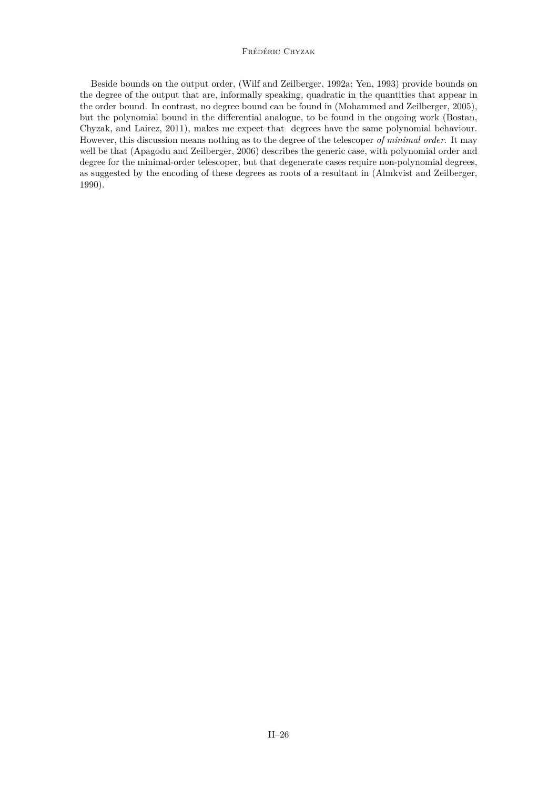### Frédéric Chyzak

Beside bounds on the output order, [\(Wilf and Zeilberger,](#page-36-0) [1992a;](#page-36-0) [Yen,](#page-36-0) [1993\)](#page-36-0) provide bounds on the degree of the output that are, informally speaking, quadratic in the quantities that appear in the order bound. In contrast, no degree bound can be found in [\(Mohammed and Zeilberger,](#page-35-0) [2005\)](#page-35-0), but the polynomial bound in the differential analogue, to be found in the ongoing work [\(Bostan,](#page-33-0) [Chyzak, and Lairez,](#page-33-0) [2011\)](#page-33-0), makes me expect that degrees have the same polynomial behaviour. However, this discussion means nothing as to the degree of the telescoper *of minimal order*. It may well be that [\(Apagodu and Zeilberger,](#page-33-0) [2006\)](#page-33-0) describes the generic case, with polynomial order and degree for the minimal-order telescoper, but that degenerate cases require non-polynomial degrees, as suggested by the encoding of these degrees as roots of a resultant in [\(Almkvist and Zeilberger,](#page-33-0) [1990\)](#page-33-0).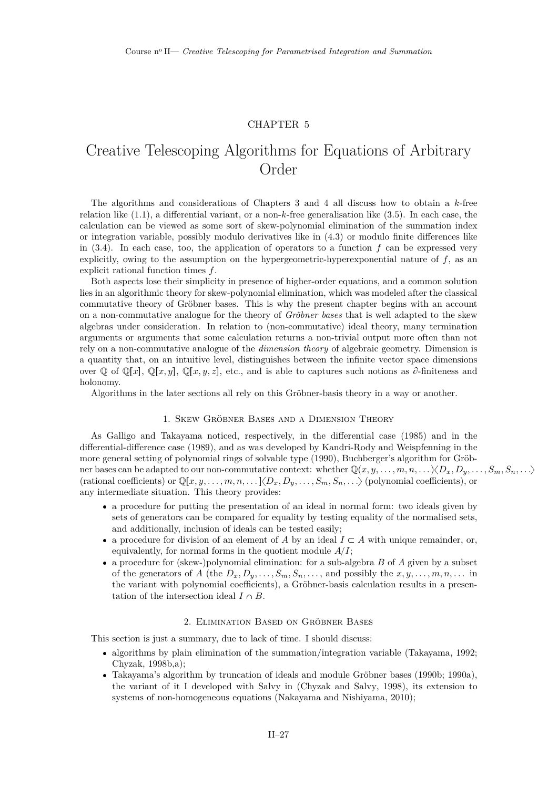## CHAPTER 5

## <span id="page-27-0"></span>Creative Telescoping Algorithms for Equations of Arbitrary Order

The algorithms and considerations of Chapters [3](#page-15-0) and [4](#page-23-0) all discuss how to obtain a *k*-free relation like [\(1.1\)](#page-11-0), a differential variant, or a non-*k*-free generalisation like [\(3.5\)](#page-19-0). In each case, the calculation can be viewed as some sort of skew-polynomial elimination of the summation index or integration variable, possibly modulo derivatives like in [\(4.3\)](#page-21-0) or modulo finite differences like in  $(3.4)$ . In each case, too, the application of operators to a function  $f$  can be expressed very explicitly, owing to the assumption on the hypergeometric-hyperexponential nature of *f*, as an explicit rational function times *f*.

Both aspects lose their simplicity in presence of higher-order equations, and a common solution lies in an algorithmic theory for skew-polynomial elimination, which was modeled after the classical commutative theory of Gröbner bases. This is why the present chapter begins with an account on a non-commutative analogue for the theory of *Gröbner bases* that is well adapted to the skew algebras under consideration. In relation to (non-commutative) ideal theory, many termination arguments or arguments that some calculation returns a non-trivial output more often than not rely on a non-commutative analogue of the *dimension theory* of algebraic geometry. Dimension is a quantity that, on an intuitive level, distinguishes between the infinite vector space dimensions over  $\mathbb{Q}$  of  $\mathbb{Q}[x], \mathbb{Q}[x, y], \mathbb{Q}[x, y, z]$ , etc., and is able to captures such notions as  $\partial$ -finiteness and holonomy.

Algorithms in the later sections all rely on this Gröbner-basis theory in a way or another.

### 1. Skew Gröbner Bases and a Dimension Theory

As Galligo and Takayama noticed, respectively, in the differential case [\(1985\)](#page-34-0) and in the differential-difference case [\(1989\)](#page-36-0), and as was developed by Kandri-Rody and Weispfenning in the more general setting of polynomial rings of solvable type [\(1990\)](#page-34-0), Buchberger's algorithm for Gröbner bases can be adapted to our non-commutative context: whether  $\mathbb{Q}(x, y, \ldots, m, n, \ldots) \langle D_x, D_y, \ldots, S_m, S_n, \ldots \rangle$  $(\text{rational coefficients}) \text{ or } \mathbb{Q}[x, y, \ldots, m, n, \ldots] \langle D_x, D_y, \ldots, S_m, S_n, \ldots \rangle \text{ (polynomial coefficients)}, \text{ or }$ any intermediate situation. This theory provides:

- a procedure for putting the presentation of an ideal in normal form: two ideals given by sets of generators can be compared for equality by testing equality of the normalised sets, and additionally, inclusion of ideals can be tested easily;
- a procedure for division of an element of *A* by an ideal  $I \subset A$  with unique remainder, or, equivalently, for normal forms in the quotient module  $A/I$ ;
- a procedure for (skew-)polynomial elimination: for a sub-algebra *B* of *A* given by a subset of the generators of *A* (the  $D_x, D_y, \ldots, S_m, S_n, \ldots$ , and possibly the  $x, y, \ldots, m, n, \ldots$  in the variant with polynomial coefficients), a Gröbner-basis calculation results in a presentation of the intersection ideal  $I \cap B$ .

#### 2. Elimination Based on Gröbner Bases

This section is just a summary, due to lack of time. I should discuss:

- algorithms by plain elimination of the summation/integration variable [\(Takayama,](#page-36-0) [1992;](#page-36-0) [Chyzak,](#page-34-0) [1998b,a\)](#page-34-0);
- Takayama's algorithm by truncation of ideals and module Gröbner bases [\(1990b;](#page-36-0) [1990a\)](#page-36-0), the variant of it I developed with Salvy in [\(Chyzak and Salvy,](#page-34-0) [1998\)](#page-34-0), its extension to systems of non-homogeneous equations [\(Nakayama and Nishiyama,](#page-35-0) [2010\)](#page-35-0);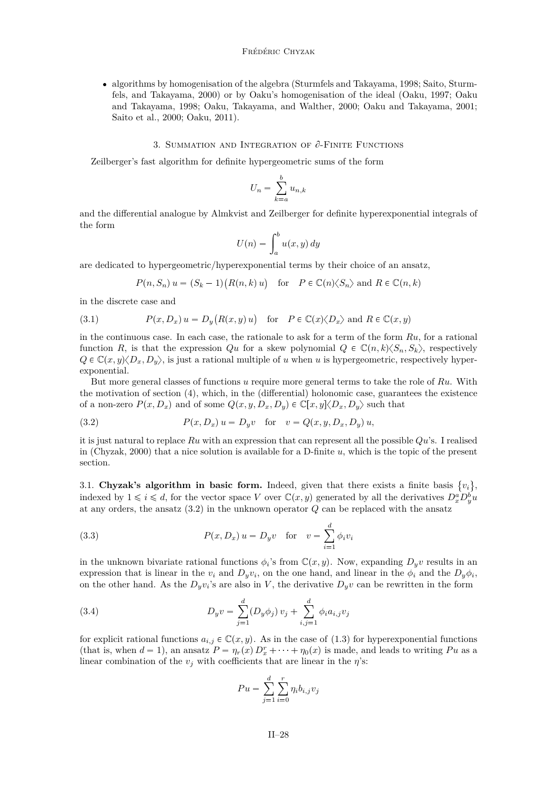<span id="page-28-0"></span> algorithms by homogenisation of the algebra [\(Sturmfels and Takayama,](#page-36-0) [1998;](#page-36-0) [Saito, Sturm](#page-36-0)[fels, and Takayama,](#page-36-0) [2000\)](#page-36-0) or by Oaku's homogenisation of the ideal [\(Oaku,](#page-35-0) [1997;](#page-35-0) [Oaku](#page-35-0) [and Takayama,](#page-35-0) [1998;](#page-35-0) [Oaku, Takayama, and Walther,](#page-35-0) [2000;](#page-35-0) [Oaku and Takayama,](#page-35-0) [2001;](#page-35-0) [Saito et al.,](#page-36-0) [2000;](#page-36-0) [Oaku,](#page-35-0) [2011\)](#page-35-0).

#### 3. SUMMATION AND INTEGRATION OF  $\partial$ -FINITE FUNCTIONS

Zeilberger's fast algorithm for definite hypergeometric sums of the form

$$
U_n = \sum_{k=a}^{b} u_{n,k}
$$

and the differential analogue by Almkvist and Zeilberger for definite hyperexponential integrals of the form

$$
U(n) = \int_a^b u(x, y) \, dy
$$

are dedicated to hypergeometric/hyperexponential terms by their choice of an ansatz,

$$
P(n, S_n) u = (S_k - 1)(R(n, k) u)
$$
 for  $P \in \mathbb{C}(n) \langle S_n \rangle$  and  $R \in \mathbb{C}(n, k)$ 

in the discrete case and

(3.1) 
$$
P(x, D_x) u = D_y(R(x, y) u) \text{ for } P \in \mathbb{C}(x) \langle D_x \rangle \text{ and } R \in \mathbb{C}(x, y)
$$

in the continuous case. In each case, the rationale to ask for a term of the form *Ru*, for a rational function *R*, is that the expression *Qu* for a skew polynomial  $Q \in \mathbb{C}(n, k)\langle S_n, S_k \rangle$ , respectively  $Q \in \mathbb{C}(x, y) \langle D_x, D_y \rangle$ , is just a rational multiple of *u* when *u* is hypergeometric, respectively hyperexponential.

But more general classes of functions *u* require more general terms to take the role of *Ru*. With the motivation of section [\(4\)](#page-20-0), which, in the (differential) holonomic case, guarantees the existence of a non-zero  $P(x, D_x)$  and of some  $Q(x, y, D_x, D_y) \in \mathbb{C}[x, y] \langle D_x, D_y \rangle$  such that

(3.2) 
$$
P(x, D_x) u = D_y v \text{ for } v = Q(x, y, D_x, D_y) u,
$$

it is just natural to replace *Ru* with an expression that can represent all the possible *Qu*'s. I realised in [\(Chyzak,](#page-34-0) [2000\)](#page-34-0) that a nice solution is available for a D-finite *u*, which is the topic of the present section.

3.1. Chyzak's algorithm in basic form. Indeed, given that there exists a finite basis  $\{v_i\}$ , indexed by  $1 \leq i \leq d$ , for the vector space *V* over  $\mathbb{C}(x, y)$  generated by all the derivatives  $D_x^a D_y^b u$ at any orders, the ansatz (3.2) in the unknown operator *Q* can be replaced with the ansatz

(3.3) 
$$
P(x, D_x) u = D_y v \text{ for } v = \sum_{i=1}^d \phi_i v_i
$$

in the unknown bivariate rational functions  $\phi_i$ 's from  $\mathbb{C}(x, y)$ . Now, expanding  $D_y v$  results in an expression that is linear in the  $v_i$  and  $D_y v_i$ , on the one hand, and linear in the  $\phi_i$  and the  $D_y \phi_i$ , on the other hand. As the  $D_yv_i$ 's are also in *V*, the derivative  $D_yv$  can be rewritten in the form

(3.4) 
$$
D_y v = \sum_{j=1}^d (D_y \phi_j) v_j + \sum_{i,j=1}^d \phi_i a_{i,j} v_j
$$

for explicit rational functions  $a_{i,j} \in \mathbb{C}(x, y)$ . As in the case of [\(1.3\)](#page-16-0) for hyperexponential functions (that is, when  $d = 1$ ), an ansatz  $P = \eta_r(x) D_x^r + \cdots + \eta_0(x)$  is made, and leads to writing *Pu* as a linear combination of the  $v_j$  with coefficients that are linear in the  $\eta$ 's:

$$
Pu = \sum_{j=1}^{d} \sum_{i=0}^{r} \eta_i b_{i,j} v_j
$$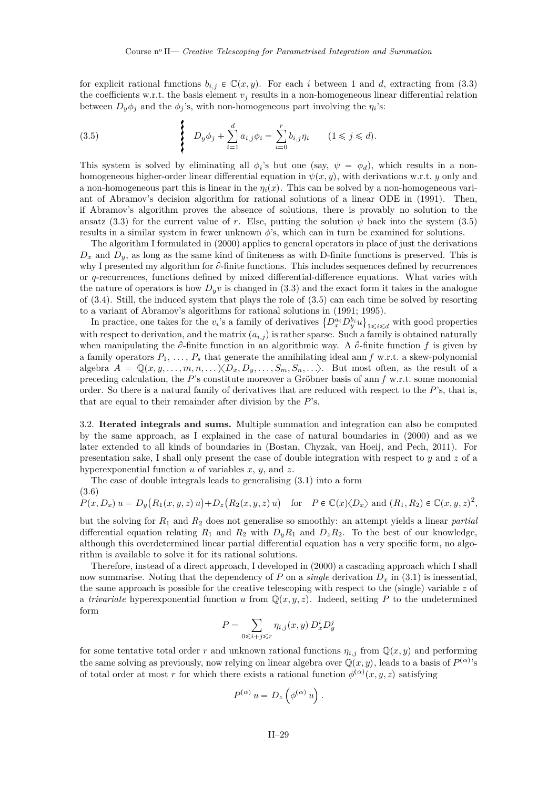<span id="page-29-0"></span>for explicit rational functions  $b_{i,j} \in \mathbb{C}(x, y)$ . For each *i* between 1 and *d*, extracting from [\(3.3\)](#page-28-0) the coefficients w.r.t. the basis element  $v_j$  results in a non-homogeneous linear differential relation between  $D_y \phi_j$  and the  $\phi_j$ 's, with non-homogeneous part involving the  $\eta_i$ 's:

(3.5) 
$$
D_y \phi_j + \sum_{i=1}^d a_{i,j} \phi_i = \sum_{i=0}^r b_{i,j} \eta_i \qquad (1 \le j \le d).
$$

This system is solved by eliminating all  $\phi_i$ 's but one (say,  $\psi = \phi_d$ ), which results in a nonhomogeneous higher-order linear differential equation in  $\psi(x, y)$ , with derivations w.r.t. *y* only and a non-homogeneous part this is linear in the  $\eta_i(x)$ . This can be solved by a non-homogeneous variant of Abramov's decision algorithm for rational solutions of a linear ODE in [\(1991\)](#page-33-0). Then, if Abramov's algorithm proves the absence of solutions, there is provably no solution to the ansatz [\(3.3\)](#page-28-0) for the current value of *r*. Else, putting the solution  $\psi$  back into the system (3.5) results in a similar system in fewer unknown  $\phi$ 's, which can in turn be examined for solutions.

The algorithm I formulated in [\(2000\)](#page-34-0) applies to general operators in place of just the derivations  $D_x$  and  $D_y$ , as long as the same kind of finiteness as with D-finite functions is preserved. This is why I presented my algorithm for  $\partial$ -finite functions. This includes sequences defined by recurrences or *q*-recurrences, functions defined by mixed differential-difference equations. What varies with the nature of operators is how  $D_yv$  is changed in [\(3.3\)](#page-28-0) and the exact form it takes in the analogue of [\(3.4\)](#page-28-0). Still, the induced system that plays the role of (3.5) can each time be solved by resorting to a variant of Abramov's algorithms for rational solutions in [\(1991;](#page-33-0) [1995\)](#page-33-0).

In practice, one takes for the  $v_i$ 's a family of derivatives  $\{D_x^{a_i}D_y^{b_i}u\}_{1\leq i\leq d}$  with good properties with respect to derivation, and the matrix  $(a_{i,j})$  is rather sparse. Such a family is obtained naturally when manipulating the  $\partial$ -finite function in an algorithmic way. A  $\partial$ -finite function f is given by a family operators  $P_1, \ldots, P_s$  that generate the annihilating ideal ann  $f$  w.r.t. a skew-polynomial algebra  $A = \mathbb{Q}(x, y, \ldots, m, n, \ldots) \langle D_x, D_y, \ldots, S_m, S_n, \ldots \rangle$ . But most often, as the result of a preceding calculation, the *P*'s constitute moreover a Gröbner basis of ann *f* w.r.t. some monomial order. So there is a natural family of derivatives that are reduced with respect to the *P*'s, that is, that are equal to their remainder after division by the *P*'s.

3.2. **Iterated integrals and sums.** Multiple summation and integration can also be computed by the same approach, as I explained in the case of natural boundaries in [\(2000\)](#page-34-0) and as we later extended to all kinds of boundaries in [\(Bostan, Chyzak, van Hoeij, and Pech,](#page-33-0) [2011\)](#page-33-0). For presentation sake, I shall only present the case of double integration with respect to *y* and *z* of a hyperexponential function *u* of variables *x*, *y*, and *z*.

The case of double integrals leads to generalising [\(3.1\)](#page-28-0) into a form (3.6)

 $P(x, D_x) u = D_y(R_1(x, y, z) u) + D_z(R_2(x, y, z) u)$  for  $P \in \mathbb{C}(x) \langle D_x \rangle$  and  $(R_1, R_2) \in \mathbb{C}(x, y, z)^2$ ,

but the solving for *R*<sup>1</sup> and *R*<sup>2</sup> does not generalise so smoothly: an attempt yields a linear *partial* differential equation relating  $R_1$  and  $R_2$  with  $D_yR_1$  and  $D_zR_2$ . To the best of our knowledge, although this overdetermined linear partial differential equation has a very specific form, no algorithm is available to solve it for its rational solutions.

Therefore, instead of a direct approach, I developed in [\(2000\)](#page-34-0) a cascading approach which I shall now summarise. Noting that the dependency of *P* on a *single* derivation  $D_x$  in [\(3.1\)](#page-28-0) is inessential, the same approach is possible for the creative telescoping with respect to the (single) variable *z* of a *trivariate* hyperexponential function *u* from  $\mathbb{Q}(x, y, z)$ . Indeed, setting *P* to the undetermined form

$$
P = \sum_{0 \le i+j \le r} \eta_{i,j}(x, y) D_x^i D_y^j
$$

for some tentative total order *r* and unknown rational functions  $\eta_{i,j}$  from  $\mathbb{Q}(x, y)$  and performing the same solving as previously, now relying on linear algebra over  $\mathbb{Q}(x, y)$ , leads to a basis of  $P^{(\alpha)}$ 's of total order at most *r* for which there exists a rational function  $\phi^{(\alpha)}(x, y, z)$  satisfying

$$
P^{(\alpha)} u = D_z \left( \phi^{(\alpha)} u \right).
$$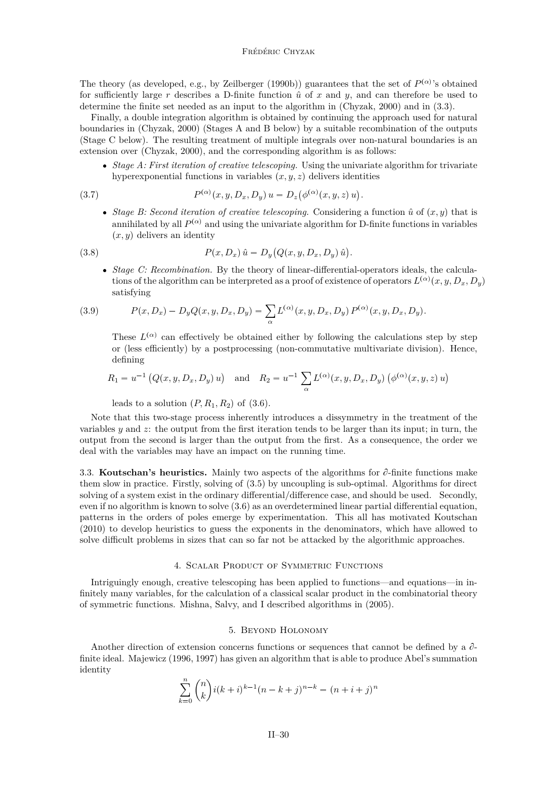<span id="page-30-0"></span>The theory (as developed, e.g., by [Zeilberger](#page-37-0) [\(1990b\)](#page-37-0)) guarantees that the set of  $P^{(\alpha)}$ 's obtained for sufficiently large  $r$  describes a D-finite function  $\hat{u}$  of  $x$  and  $y$ , and can therefore be used to determine the finite set needed as an input to the algorithm in [\(Chyzak,](#page-34-0) [2000\)](#page-34-0) and in [\(3.3\)](#page-28-0).

Finally, a double integration algorithm is obtained by continuing the approach used for natural boundaries in [\(Chyzak,](#page-34-0) [2000\)](#page-34-0) (Stages A and B below) by a suitable recombination of the outputs (Stage C below). The resulting treatment of multiple integrals over non-natural boundaries is an extension over [\(Chyzak,](#page-34-0) [2000\)](#page-34-0), and the corresponding algorithm is as follows:

 *Stage A: First iteration of creative telescoping.* Using the univariate algorithm for trivariate hyperexponential functions in variables  $(x, y, z)$  delivers identities

(3.7) 
$$
P^{(\alpha)}(x, y, D_x, D_y) u = D_z(\phi^{(\alpha)}(x, y, z) u).
$$

• *Stage B: Second iteration of creative telescoping. Considering a function*  $\hat{u}$  *of*  $(x, y)$  *that is* annihilated by all  $P^{(\alpha)}$  and using the univariate algorithm for D-finite functions in variables  $(x, y)$  delivers an identity

(3.8) 
$$
P(x, D_x) \hat{u} = D_y (Q(x, y, D_x, D_y) \hat{u}).
$$

 *Stage C: Recombination.* By the theory of linear-differential-operators ideals, the calculations of the algorithm can be interpreted as a proof of existence of operators  $L^{(\alpha)}(x, y, D_x, D_y)$ satisfying

(3.9) 
$$
P(x, D_x) - D_y Q(x, y, D_x, D_y) = \sum_{\alpha} L^{(\alpha)}(x, y, D_x, D_y) P^{(\alpha)}(x, y, D_x, D_y).
$$

These  $L^{(\alpha)}$  can effectively be obtained either by following the calculations step by step or (less efficiently) by a postprocessing (non-commutative multivariate division). Hence, defining

$$
R_1 = u^{-1} (Q(x, y, D_x, D_y) u)
$$
 and  $R_2 = u^{-1} \sum_{\alpha} L^{(\alpha)}(x, y, D_x, D_y) (\phi^{(\alpha)}(x, y, z) u)$ 

leads to a solution  $(P, R_1, R_2)$  of  $(3.6)$ .

Note that this two-stage process inherently introduces a dissymmetry in the treatment of the variables *y* and *z*: the output from the first iteration tends to be larger than its input; in turn, the output from the second is larger than the output from the first. As a consequence, the order we deal with the variables may have an impact on the running time.

3.3. **Koutschan's heuristics.** Mainly two aspects of the algorithms for  $\partial$ -finite functions make them slow in practice. Firstly, solving of [\(3.5\)](#page-29-0) by uncoupling is sub-optimal. Algorithms for direct solving of a system exist in the ordinary differential/difference case, and should be used. Secondly, even if no algorithm is known to solve [\(3.6\)](#page-29-0) as an overdetermined linear partial differential equation, patterns in the orders of poles emerge by experimentation. This all has motivated [Koutschan](#page-35-0) [\(2010\)](#page-35-0) to develop heuristics to guess the exponents in the denominators, which have allowed to solve difficult problems in sizes that can so far not be attacked by the algorithmic approaches.

#### 4. Scalar Product of Symmetric Functions

Intriguingly enough, creative telescoping has been applied to functions—and equations—in infinitely many variables, for the calculation of a classical scalar product in the combinatorial theory of symmetric functions. Mishna, Salvy, and I described algorithms in [\(2005\)](#page-34-0).

#### 5. Beyond Holonomy

Another direction of extension concerns functions or sequences that cannot be defined by a  $\partial$ finite ideal. [Majewicz](#page-35-0) [\(1996,](#page-35-0) [1997\)](#page-35-0) has given an algorithm that is able to produce Abel's summation identity

$$
\sum_{k=0}^{n} {n \choose k} i(k+i)^{k-1} (n-k+j)^{n-k} = (n+i+j)^{n}
$$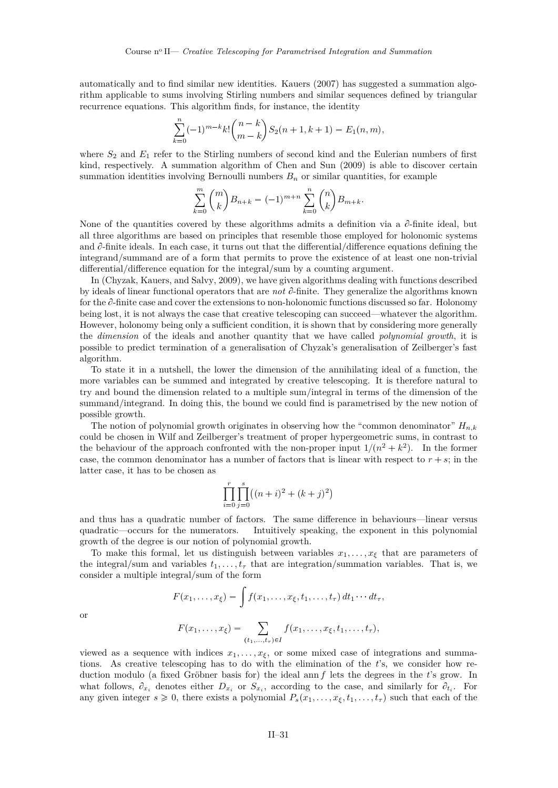automatically and to find similar new identities. [Kauers](#page-34-0) [\(2007\)](#page-34-0) has suggested a summation algorithm applicable to sums involving Stirling numbers and similar sequences defined by triangular recurrence equations. This algorithm finds, for instance, the identity

$$
\sum_{k=0}^{n} (-1)^{m-k} k! \binom{n-k}{m-k} S_2(n+1, k+1) = E_1(n, m),
$$

where  $S_2$  and  $E_1$  refer to the Stirling numbers of second kind and the Eulerian numbers of first kind, respectively. A summation algorithm of [Chen and Sun](#page-34-0) [\(2009\)](#page-34-0) is able to discover certain summation identities involving Bernoulli numbers  $B_n$  or similar quantities, for example

$$
\sum_{k=0}^{m} \binom{m}{k} B_{n+k} = (-1)^{m+n} \sum_{k=0}^{n} \binom{n}{k} B_{m+k}.
$$

None of the quantities covered by these algorithms admits a definition via a  $\partial$ -finite ideal, but all three algorithms are based on principles that resemble those employed for holonomic systems and  $\partial$ -finite ideals. In each case, it turns out that the differential/difference equations defining the integrand/summand are of a form that permits to prove the existence of at least one non-trivial differential/difference equation for the integral/sum by a counting argument.

In [\(Chyzak, Kauers, and Salvy,](#page-34-0) [2009\)](#page-34-0), we have given algorithms dealing with functions described by ideals of linear functional operators that are *not*  $\partial$ -finite. They generalize the algorithms known for the  $\partial$ -finite case and cover the extensions to non-holonomic functions discussed so far. Holonomy being lost, it is not always the case that creative telescoping can succeed—whatever the algorithm. However, holonomy being only a sufficient condition, it is shown that by considering more generally the *dimension* of the ideals and another quantity that we have called *polynomial growth*, it is possible to predict termination of a generalisation of Chyzak's generalisation of Zeilberger's fast algorithm.

To state it in a nutshell, the lower the dimension of the annihilating ideal of a function, the more variables can be summed and integrated by creative telescoping. It is therefore natural to try and bound the dimension related to a multiple sum/integral in terms of the dimension of the summand/integrand. In doing this, the bound we could find is parametrised by the new notion of possible growth.

The notion of polynomial growth originates in observing how the "common denominator" *Hn,k* could be chosen in Wilf and Zeilberger's treatment of proper hypergeometric sums, in contrast to the behaviour of the approach confronted with the non-proper input  $1/(n^2 + k^2)$ . In the former case, the common denominator has a number of factors that is linear with respect to  $r + s$ ; in the latter case, it has to be chosen as

$$
\prod_{i=0}^{r} \prod_{j=0}^{s} ((n+i)^{2} + (k+j)^{2})
$$

and thus has a quadratic number of factors. The same difference in behaviours—linear versus quadratic—occurs for the numerators. Intuitively speaking, the exponent in this polynomial growth of the degree is our notion of polynomial growth.

To make this formal, let us distinguish between variables  $x_1, \ldots, x_\xi$  that are parameters of the integral/sum and variables  $t_1, \ldots, t_\tau$  that are integration/summation variables. That is, we consider a multiple integral/sum of the form

$$
F(x_1, \ldots, x_\xi) = \int f(x_1, \ldots, x_\xi, t_1, \ldots, t_\tau) dt_1 \cdots dt_\tau,
$$
  

$$
F(x_1, \ldots, x_\xi) = \sum_{(t_1, \ldots, t_\tau) \in I} f(x_1, \ldots, x_\xi, t_1, \ldots, t_\tau),
$$

viewed as a sequence with indices  $x_1, \ldots, x_\xi$ , or some mixed case of integrations and summations. As creative telescoping has to do with the elimination of the *t*'s, we consider how reduction modulo (a fixed Gröbner basis for) the ideal ann *f* lets the degrees in the *t*'s grow. In what follows,  $\partial_{x_i}$  denotes either  $D_{x_i}$  or  $S_{x_i}$ , according to the case, and similarly for  $\partial_{t_i}$ . For any given integer  $s \geq 0$ , there exists a polynomial  $P_s(x_1, \ldots, x_\xi, t_1, \ldots, t_\tau)$  such that each of the

or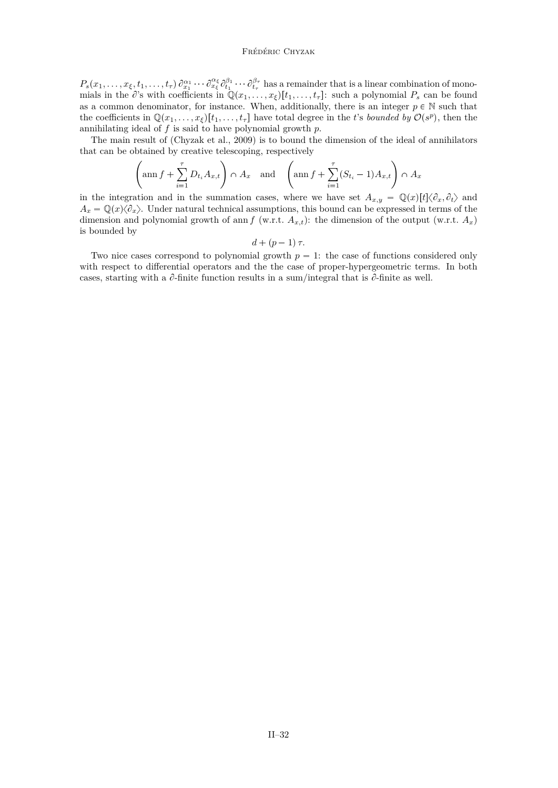#### Frédéric Chyzak

 $P_s(x_1,\ldots,x_\xi,t_1,\ldots,t_\tau)\partial_{x_1}^{\alpha_1}\cdots\partial_{x_\xi}^{\alpha_\xi}\partial_{t_1}^{\beta_1}\cdots\partial_{t_\tau}^{\beta_\tau}$  has a remainder that is a linear combination of monomials in the  $\partial$ 's with coefficients in  $\mathbb{Q}(x_1, \ldots, x_\xi)[t_1, \ldots, t_\tau]$ : such a polynomial  $P_s$  can be found as a common denominator, for instance. When, additionally, there is an integer  $p \in \mathbb{N}$  such that the coefficients in  $\mathbb{Q}(x_1, \ldots, x_\xi)[t_1, \ldots, t_\tau]$  have total degree in the *t*'s *bounded by*  $\mathcal{O}(s^p)$ , then the annihilating ideal of *f* is said to have polynomial growth *p*.

The main result of [\(Chyzak et al.,](#page-34-0) [2009\)](#page-34-0) is to bound the dimension of the ideal of annihilators that can be obtained by creative telescoping, respectively

$$
\left(\operatorname{ann} f + \sum_{i=1}^{\tau} D_{t_i} A_{x,t}\right) \cap A_x \quad \text{and} \quad \left(\operatorname{ann} f + \sum_{i=1}^{\tau} (S_{t_i} - 1) A_{x,t}\right) \cap A_x
$$

in the integration and in the summation cases, where we have set  $A_{x,y} = \mathbb{Q}(x)[t]\langle \partial_x, \partial_t \rangle$  and  $A_x = \mathbb{Q}(x)\langle \partial_x \rangle$ . Under natural technical assumptions, this bound can be expressed in terms of the dimension and polynomial growth of ann *f* (w.r.t.  $A_{x,t}$ ): the dimension of the output (w.r.t.  $A_x$ ) is bounded by

$$
d+(p-1)\,\tau.
$$

Two nice cases correspond to polynomial growth  $p = 1$ : the case of functions considered only with respect to differential operators and the the case of proper-hypergeometric terms. In both cases, starting with a  $\partial$ -finite function results in a sum/integral that is  $\partial$ -finite as well.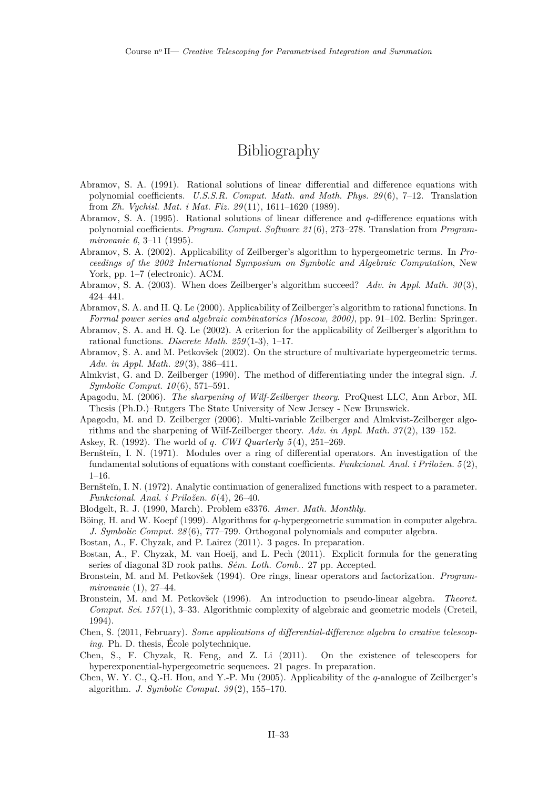## Bibliography

- <span id="page-33-0"></span>Abramov, S. A. (1991). Rational solutions of linear differential and difference equations with polynomial coefficients. *U.S.S.R. Comput. Math. and Math. Phys. 29* (6), 7–12. Translation from *Zh. Vychisl. Mat. i Mat. Fiz. 29* (11), 1611–1620 (1989).
- Abramov, S. A. (1995). Rational solutions of linear difference and *q*-difference equations with polynomial coefficients. *Program. Comput. Software 21* (6), 273–278. Translation from *Programmirovanie 6*, 3–11 (1995).
- Abramov, S. A. (2002). Applicability of Zeilberger's algorithm to hypergeometric terms. In *Proceedings of the 2002 International Symposium on Symbolic and Algebraic Computation*, New York, pp. 1–7 (electronic). ACM.
- Abramov, S. A. (2003). When does Zeilberger's algorithm succeed? *Adv. in Appl. Math. 30* (3), 424–441.
- Abramov, S. A. and H. Q. Le (2000). Applicability of Zeilberger's algorithm to rational functions. In *Formal power series and algebraic combinatorics (Moscow, 2000)*, pp. 91–102. Berlin: Springer.
- Abramov, S. A. and H. Q. Le (2002). A criterion for the applicability of Zeilberger's algorithm to rational functions. *Discrete Math. 259* (1-3), 1–17.
- Abramov, S. A. and M. Petkovšek (2002). On the structure of multivariate hypergeometric terms. *Adv. in Appl. Math. 29* (3), 386–411.
- Almkvist, G. and D. Zeilberger (1990). The method of differentiating under the integral sign. *J. Symbolic Comput. 10* (6), 571–591.
- Apagodu, M. (2006). *The sharpening of Wilf-Zeilberger theory*. ProQuest LLC, Ann Arbor, MI. Thesis (Ph.D.)–Rutgers The State University of New Jersey - New Brunswick.
- Apagodu, M. and D. Zeilberger (2006). Multi-variable Zeilberger and Almkvist-Zeilberger algorithms and the sharpening of Wilf-Zeilberger theory. *Adv. in Appl. Math. 37* (2), 139–152.
- Askey, R. (1992). The world of *q*. *CWI Quarterly 5* (4), 251–269.
- Bernšteĭn, I. N. (1971). Modules over a ring of differential operators. An investigation of the fundamental solutions of equations with constant coefficients. *Funkcional. Anal. i Priložen. 5* (2), 1–16.
- Bernšteĭn, I. N. (1972). Analytic continuation of generalized functions with respect to a parameter. *Funkcional. Anal. i Priložen. 6* (4), 26–40.
- Blodgelt, R. J. (1990, March). Problem e3376. *Amer. Math. Monthly*.
- Böing, H. and W. Koepf (1999). Algorithms for *q*-hypergeometric summation in computer algebra. *J. Symbolic Comput. 28* (6), 777–799. Orthogonal polynomials and computer algebra.
- Bostan, A., F. Chyzak, and P. Lairez (2011). 3 pages. In preparation.
- Bostan, A., F. Chyzak, M. van Hoeij, and L. Pech (2011). Explicit formula for the generating series of diagonal 3D rook paths. *Sém. Loth. Comb.*. 27 pp. Accepted.
- Bronstein, M. and M. Petkovšek (1994). Ore rings, linear operators and factorization. *Programmirovanie* (1), 27–44.
- Bronstein, M. and M. Petkovšek (1996). An introduction to pseudo-linear algebra. *Theoret. Comput. Sci. 157* (1), 3–33. Algorithmic complexity of algebraic and geometric models (Creteil, 1994).
- Chen, S. (2011, February). *Some applications of differential-difference algebra to creative telescoping*. Ph. D. thesis, École polytechnique.
- Chen, S., F. Chyzak, R. Feng, and Z. Li (2011). On the existence of telescopers for hyperexponential-hypergeometric sequences. 21 pages. In preparation.
- Chen, W. Y. C., Q.-H. Hou, and Y.-P. Mu (2005). Applicability of the *q*-analogue of Zeilberger's algorithm. *J. Symbolic Comput. 39* (2), 155–170.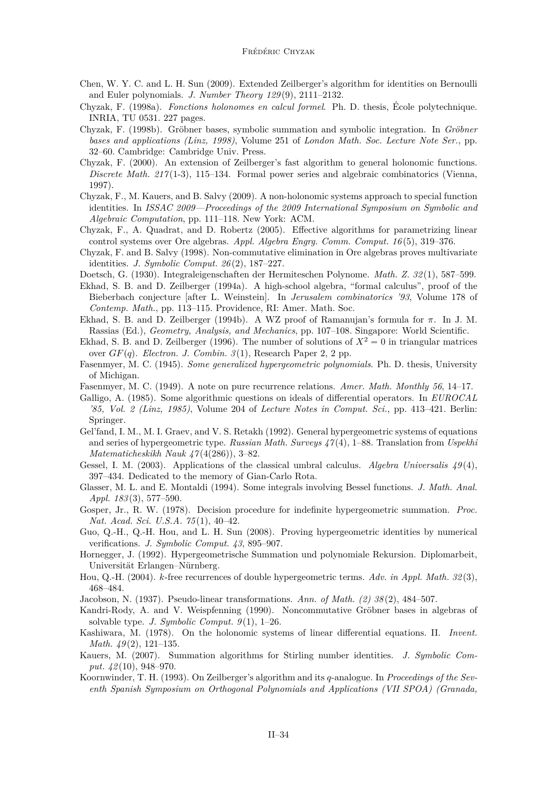- <span id="page-34-0"></span>Chen, W. Y. C. and L. H. Sun (2009). Extended Zeilberger's algorithm for identities on Bernoulli and Euler polynomials. *J. Number Theory 129* (9), 2111–2132.
- Chyzak, F. (1998a). *Fonctions holonomes en calcul formel*. Ph. D. thesis, École polytechnique. INRIA, TU 0531. 227 pages.
- Chyzak, F. (1998b). Gröbner bases, symbolic summation and symbolic integration. In *Gröbner bases and applications (Linz, 1998)*, Volume 251 of *London Math. Soc. Lecture Note Ser.*, pp. 32–60. Cambridge: Cambridge Univ. Press.
- Chyzak, F. (2000). An extension of Zeilberger's fast algorithm to general holonomic functions. *Discrete Math. 217* (1-3), 115–134. Formal power series and algebraic combinatorics (Vienna, 1997).
- Chyzak, F., M. Kauers, and B. Salvy (2009). A non-holonomic systems approach to special function identities. In *ISSAC 2009—Proceedings of the 2009 International Symposium on Symbolic and Algebraic Computation*, pp. 111–118. New York: ACM.
- Chyzak, F., A. Quadrat, and D. Robertz (2005). Effective algorithms for parametrizing linear control systems over Ore algebras. *Appl. Algebra Engrg. Comm. Comput. 16* (5), 319–376.
- Chyzak, F. and B. Salvy (1998). Non-commutative elimination in Ore algebras proves multivariate identities. *J. Symbolic Comput. 26* (2), 187–227.
- Doetsch, G. (1930). Integraleigenschaften der Hermiteschen Polynome. *Math. Z. 32* (1), 587–599.
- Ekhad, S. B. and D. Zeilberger (1994a). A high-school algebra, "formal calculus", proof of the Bieberbach conjecture [after L. Weinstein]. In *Jerusalem combinatorics '93*, Volume 178 of *Contemp. Math.*, pp. 113–115. Providence, RI: Amer. Math. Soc.
- Ekhad, S. B. and D. Zeilberger (1994b). A WZ proof of Ramanujan's formula for *π*. In J. M. Rassias (Ed.), *Geometry, Analysis, and Mechanics*, pp. 107–108. Singapore: World Scientific.
- Ekhad, S. B. and D. Zeilberger (1996). The number of solutions of  $X^2 = 0$  in triangular matrices over  $GF(q)$ . *Electron. J. Combin.*  $3(1)$ , Research Paper 2, 2 pp.
- Fasenmyer, M. C. (1945). *Some generalized hypergeometric polynomials*. Ph. D. thesis, University of Michigan.
- Fasenmyer, M. C. (1949). A note on pure recurrence relations. *Amer. Math. Monthly 56*, 14–17.
- Galligo, A. (1985). Some algorithmic questions on ideals of differential operators. In *EUROCAL '85, Vol. 2 (Linz, 1985)*, Volume 204 of *Lecture Notes in Comput. Sci.*, pp. 413–421. Berlin: Springer.
- Gel'fand, I. M., M. I. Graev, and V. S. Retakh (1992). General hypergeometric systems of equations and series of hypergeometric type. *Russian Math. Surveys 47* (4), 1–88. Translation from *Uspekhi Matematicheskikh Nauk 47* (4(286)), 3–82.
- Gessel, I. M. (2003). Applications of the classical umbral calculus. *Algebra Universalis 49* (4), 397–434. Dedicated to the memory of Gian-Carlo Rota.
- Glasser, M. L. and E. Montaldi (1994). Some integrals involving Bessel functions. *J. Math. Anal. Appl. 183* (3), 577–590.
- Gosper, Jr., R. W. (1978). Decision procedure for indefinite hypergeometric summation. *Proc. Nat. Acad. Sci. U.S.A. 75* (1), 40–42.
- Guo, Q.-H., Q.-H. Hou, and L. H. Sun (2008). Proving hypergeometric identities by numerical verifications. *J. Symbolic Comput. 43*, 895–907.
- Hornegger, J. (1992). Hypergeometrische Summation und polynomiale Rekursion. Diplomarbeit, Universität Erlangen–Nürnberg.
- Hou, Q.-H. (2004). *k*-free recurrences of double hypergeometric terms. *Adv. in Appl. Math. 32* (3), 468–484.
- Jacobson, N. (1937). Pseudo-linear transformations. *Ann. of Math. (2) 38* (2), 484–507.
- Kandri-Rody, A. and V. Weispfenning (1990). Noncommutative Gröbner bases in algebras of solvable type. *J. Symbolic Comput. 9* (1), 1–26.
- Kashiwara, M. (1978). On the holonomic systems of linear differential equations. II. *Invent. Math. 49* (2), 121–135.
- Kauers, M. (2007). Summation algorithms for Stirling number identities. *J. Symbolic Comput. 42* (10), 948–970.
- Koornwinder, T. H. (1993). On Zeilberger's algorithm and its *q*-analogue. In *Proceedings of the Seventh Spanish Symposium on Orthogonal Polynomials and Applications (VII SPOA) (Granada,*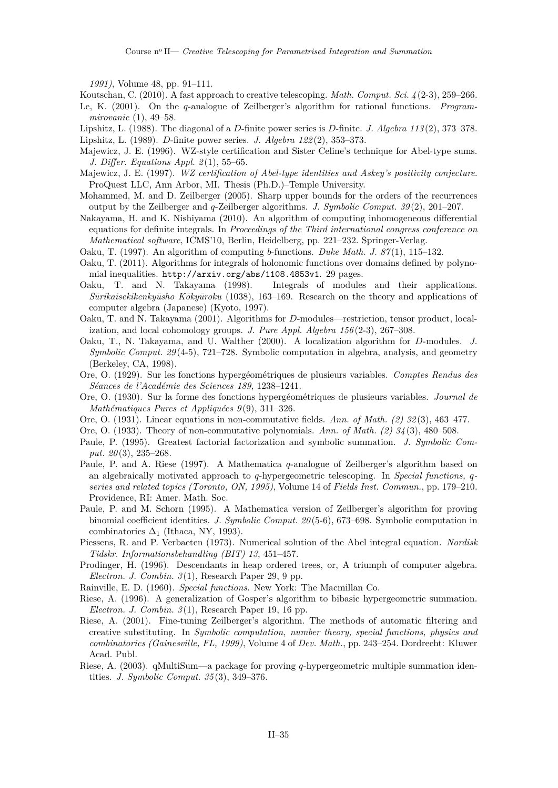<span id="page-35-0"></span>*1991)*, Volume 48, pp. 91–111.

Koutschan, C. (2010). A fast approach to creative telescoping. *Math. Comput. Sci. 4* (2-3), 259–266. Le, K. (2001). On the *q*-analogue of Zeilberger's algorithm for rational functions. *Programmirovanie* (1), 49–58.

- Lipshitz, L. (1988). The diagonal of a *D*-finite power series is *D*-finite. *J. Algebra 113* (2), 373–378. Lipshitz, L. (1989). *D*-finite power series. *J. Algebra 122* (2), 353–373.
- Majewicz, J. E. (1996). WZ-style certification and Sister Celine's technique for Abel-type sums. *J. Differ. Equations Appl. 2* (1), 55–65.
- Majewicz, J. E. (1997). *WZ certification of Abel-type identities and Askey's positivity conjecture*. ProQuest LLC, Ann Arbor, MI. Thesis (Ph.D.)–Temple University.
- Mohammed, M. and D. Zeilberger (2005). Sharp upper bounds for the orders of the recurrences output by the Zeilberger and *q*-Zeilberger algorithms. *J. Symbolic Comput. 39* (2), 201–207.
- Nakayama, H. and K. Nishiyama (2010). An algorithm of computing inhomogeneous differential equations for definite integrals. In *Proceedings of the Third international congress conference on Mathematical software*, ICMS'10, Berlin, Heidelberg, pp. 221–232. Springer-Verlag.
- Oaku, T. (1997). An algorithm of computing *b*-functions. *Duke Math. J. 87* (1), 115–132.
- Oaku, T. (2011). Algorithms for integrals of holonomic functions over domains defined by polynomial inequalities. <http://arxiv.org/abs/1108.4853v1>. 29 pages.
- Oaku, T. and N. Takayama (1998). Integrals of modules and their applications. *S¯urikaisekikenky¯usho K¯oky¯uroku* (1038), 163–169. Research on the theory and applications of computer algebra (Japanese) (Kyoto, 1997).
- Oaku, T. and N. Takayama (2001). Algorithms for *D*-modules—restriction, tensor product, localization, and local cohomology groups. *J. Pure Appl. Algebra 156* (2-3), 267–308.
- Oaku, T., N. Takayama, and U. Walther (2000). A localization algorithm for *D*-modules. *J. Symbolic Comput. 29* (4-5), 721–728. Symbolic computation in algebra, analysis, and geometry (Berkeley, CA, 1998).
- Ore, O. (1929). Sur les fonctions hypergéométriques de plusieurs variables. *Comptes Rendus des Séances de l'Académie des Sciences 189*, 1238–1241.
- Ore, O. (1930). Sur la forme des fonctions hypergéométriques de plusieurs variables. *Journal de Mathématiques Pures et Appliquées 9* (9), 311–326.
- Ore, O. (1931). Linear equations in non-commutative fields. *Ann. of Math. (2) 32* (3), 463–477.
- Ore, O. (1933). Theory of non-commutative polynomials. *Ann. of Math. (2) 34* (3), 480–508.
- Paule, P. (1995). Greatest factorial factorization and symbolic summation. *J. Symbolic Comput. 20* (3), 235–268.
- Paule, P. and A. Riese (1997). A Mathematica *q*-analogue of Zeilberger's algorithm based on an algebraically motivated approach to *q*-hypergeometric telescoping. In *Special functions, qseries and related topics (Toronto, ON, 1995)*, Volume 14 of *Fields Inst. Commun.*, pp. 179–210. Providence, RI: Amer. Math. Soc.
- Paule, P. and M. Schorn (1995). A Mathematica version of Zeilberger's algorithm for proving binomial coefficient identities. *J. Symbolic Comput. 20* (5-6), 673–698. Symbolic computation in combinatorics  $\Delta_1$  (Ithaca, NY, 1993).
- Piessens, R. and P. Verbaeten (1973). Numerical solution of the Abel integral equation. *Nordisk Tidskr. Informationsbehandling (BIT) 13*, 451–457.
- Prodinger, H. (1996). Descendants in heap ordered trees, or, A triumph of computer algebra. *Electron. J. Combin. 3* (1), Research Paper 29, 9 pp.
- Rainville, E. D. (1960). *Special functions*. New York: The Macmillan Co.
- Riese, A. (1996). A generalization of Gosper's algorithm to bibasic hypergeometric summation. *Electron. J. Combin. 3* (1), Research Paper 19, 16 pp.
- Riese, A. (2001). Fine-tuning Zeilberger's algorithm. The methods of automatic filtering and creative substituting. In *Symbolic computation, number theory, special functions, physics and combinatorics (Gainesville, FL, 1999)*, Volume 4 of *Dev. Math.*, pp. 243–254. Dordrecht: Kluwer Acad. Publ.
- Riese, A. (2003). qMultiSum—a package for proving *q*-hypergeometric multiple summation identities. *J. Symbolic Comput. 35* (3), 349–376.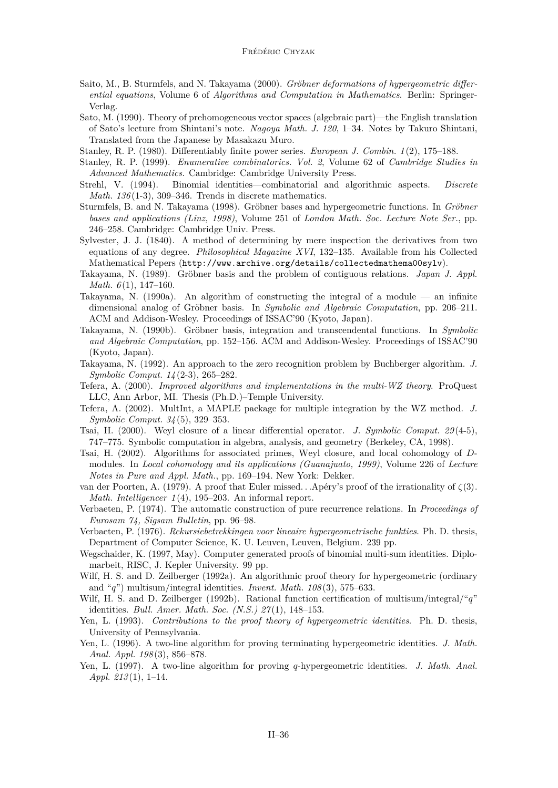- <span id="page-36-0"></span>Saito, M., B. Sturmfels, and N. Takayama (2000). *Gröbner deformations of hypergeometric differential equations*, Volume 6 of *Algorithms and Computation in Mathematics*. Berlin: Springer-Verlag.
- Sato, M. (1990). Theory of prehomogeneous vector spaces (algebraic part)—the English translation of Sato's lecture from Shintani's note. *Nagoya Math. J. 120*, 1–34. Notes by Takuro Shintani, Translated from the Japanese by Masakazu Muro.
- Stanley, R. P. (1980). Differentiably finite power series. *European J. Combin. 1* (2), 175–188.
- Stanley, R. P. (1999). *Enumerative combinatorics. Vol. 2*, Volume 62 of *Cambridge Studies in Advanced Mathematics*. Cambridge: Cambridge University Press.
- Strehl, V. (1994). Binomial identities—combinatorial and algorithmic aspects. *Discrete Math. 136* (1-3), 309–346. Trends in discrete mathematics.
- Sturmfels, B. and N. Takayama (1998). Gröbner bases and hypergeometric functions. In *Gröbner bases and applications (Linz, 1998)*, Volume 251 of *London Math. Soc. Lecture Note Ser.*, pp. 246–258. Cambridge: Cambridge Univ. Press.
- Sylvester, J. J. (1840). A method of determining by mere inspection the derivatives from two equations of any degree. *Philosophical Magazine XVI*, 132–135. Available from his Collected Mathematical Pepers (<http://www.archive.org/details/collectedmathema00sylv>).
- Takayama, N. (1989). Gröbner basis and the problem of contiguous relations. *Japan J. Appl. Math.*  $6(1)$ , 147–160.
- Takayama, N.  $(1990a)$ . An algorithm of constructing the integral of a module an infinite dimensional analog of Gröbner basis. In *Symbolic and Algebraic Computation*, pp. 206–211. ACM and Addison-Wesley. Proceedings of ISSAC'90 (Kyoto, Japan).
- Takayama, N. (1990b). Gröbner basis, integration and transcendental functions. In *Symbolic and Algebraic Computation*, pp. 152–156. ACM and Addison-Wesley. Proceedings of ISSAC'90 (Kyoto, Japan).
- Takayama, N. (1992). An approach to the zero recognition problem by Buchberger algorithm. *J. Symbolic Comput. 14* (2-3), 265–282.
- Tefera, A. (2000). *Improved algorithms and implementations in the multi-WZ theory*. ProQuest LLC, Ann Arbor, MI. Thesis (Ph.D.)–Temple University.
- Tefera, A. (2002). MultInt, a MAPLE package for multiple integration by the WZ method. *J. Symbolic Comput. 34* (5), 329–353.
- Tsai, H. (2000). Weyl closure of a linear differential operator. *J. Symbolic Comput. 29* (4-5), 747–775. Symbolic computation in algebra, analysis, and geometry (Berkeley, CA, 1998).
- Tsai, H. (2002). Algorithms for associated primes, Weyl closure, and local cohomology of *D*modules. In *Local cohomology and its applications (Guanajuato, 1999)*, Volume 226 of *Lecture Notes in Pure and Appl. Math.*, pp. 169–194. New York: Dekker.
- van der Poorten, A. (1979). A proof that Euler missed...Apéry's proof of the irrationality of  $\zeta(3)$ . *Math. Intelligencer 1* (4), 195–203. An informal report.
- Verbaeten, P. (1974). The automatic construction of pure recurrence relations. In *Proceedings of Eurosam 74, Sigsam Bulletin*, pp. 96–98.
- Verbaeten, P. (1976). *Rekursiebetrekkingen voor lineaire hypergeometrische funkties*. Ph. D. thesis, Department of Computer Science, K. U. Leuven, Leuven, Belgium. 239 pp.
- Wegschaider, K. (1997, May). Computer generated proofs of binomial multi-sum identities. Diplomarbeit, RISC, J. Kepler University. 99 pp.
- Wilf, H. S. and D. Zeilberger (1992a). An algorithmic proof theory for hypergeometric (ordinary and "*q*") multisum/integral identities. *Invent. Math. 108* (3), 575–633.
- Wilf, H. S. and D. Zeilberger (1992b). Rational function certification of multisum/integral/"*q*" identities. *Bull. Amer. Math. Soc. (N.S.) 27* (1), 148–153.
- Yen, L. (1993). *Contributions to the proof theory of hypergeometric identities*. Ph. D. thesis, University of Pennsylvania.
- Yen, L. (1996). A two-line algorithm for proving terminating hypergeometric identities. *J. Math. Anal. Appl. 198* (3), 856–878.
- Yen, L. (1997). A two-line algorithm for proving *q*-hypergeometric identities. *J. Math. Anal. Appl. 213* (1), 1–14.